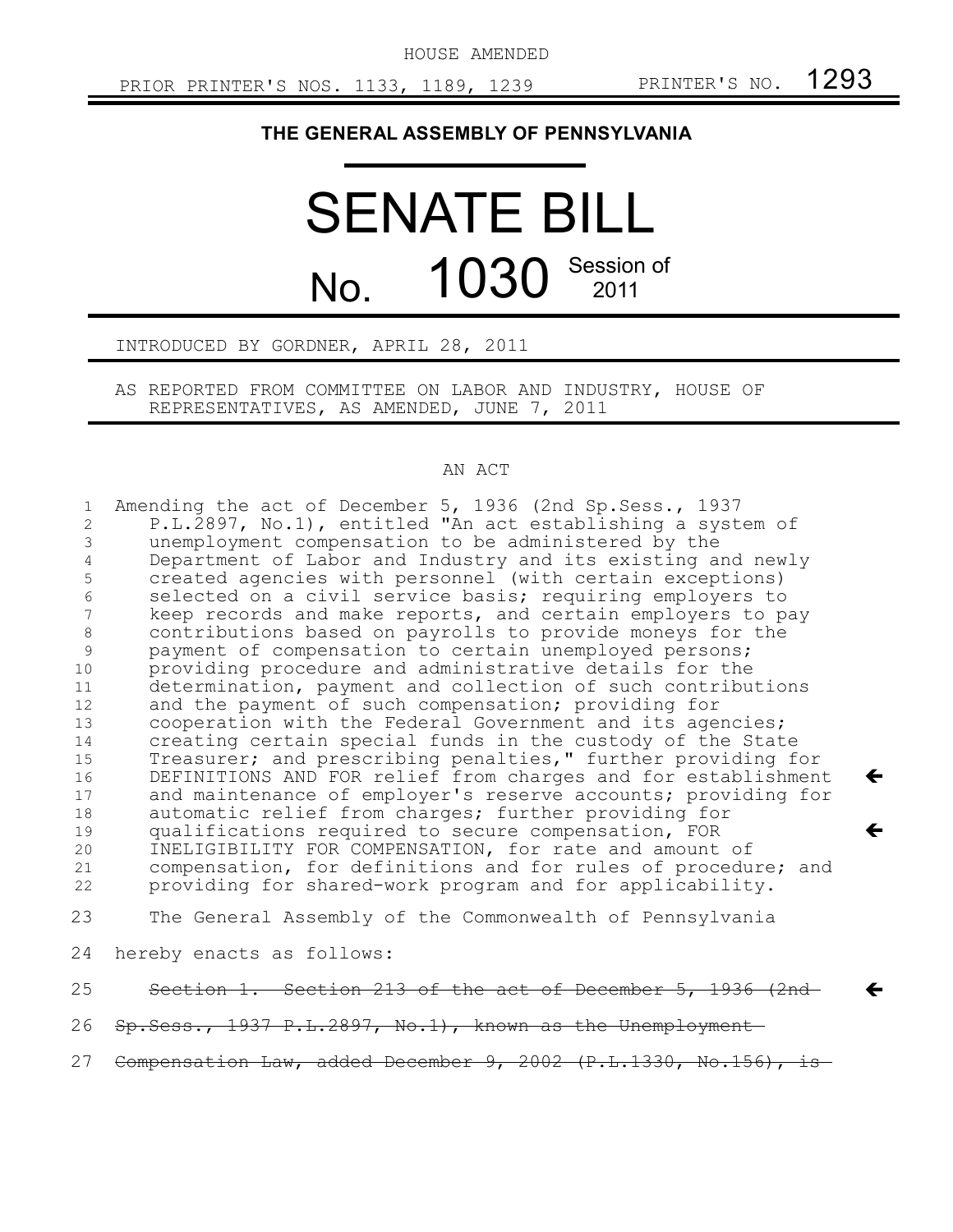HOUSE AMENDED

 $\leftarrow$ 

 $\leftarrow$ 

 $\leftarrow$ 

### **THE GENERAL ASSEMBLY OF PENNSYLVANIA**

# SENATE BILL No. 1030 Session of 2011

#### INTRODUCED BY GORDNER, APRIL 28, 2011

AS REPORTED FROM COMMITTEE ON LABOR AND INDUSTRY, HOUSE OF REPRESENTATIVES, AS AMENDED, JUNE 7, 2011

#### AN ACT

Amending the act of December 5, 1936 (2nd Sp.Sess., 1937 P.L.2897, No.1), entitled "An act establishing a system of unemployment compensation to be administered by the Department of Labor and Industry and its existing and newly created agencies with personnel (with certain exceptions) selected on a civil service basis; requiring employers to keep records and make reports, and certain employers to pay contributions based on payrolls to provide moneys for the payment of compensation to certain unemployed persons; providing procedure and administrative details for the determination, payment and collection of such contributions and the payment of such compensation; providing for cooperation with the Federal Government and its agencies; creating certain special funds in the custody of the State Treasurer; and prescribing penalties," further providing for DEFINITIONS AND FOR relief from charges and for establishment and maintenance of employer's reserve accounts; providing for automatic relief from charges; further providing for qualifications required to secure compensation, FOR INELIGIBILITY FOR COMPENSATION, for rate and amount of compensation, for definitions and for rules of procedure; and providing for shared-work program and for applicability. The General Assembly of the Commonwealth of Pennsylvania hereby enacts as follows: Section 1. Section 213 of the act of December 5, 1936 (2nd Sp.Sess., 1937 P.L.2897, No.1), known as the Unemployment 1 2 3 4 5 6 7 8 9 10 11 12 13 14 15 16 17 18 19 20 21 22 23 24 25 26

Compensation Law, added December 9, 2002 (P.L.1330, No.156), is-27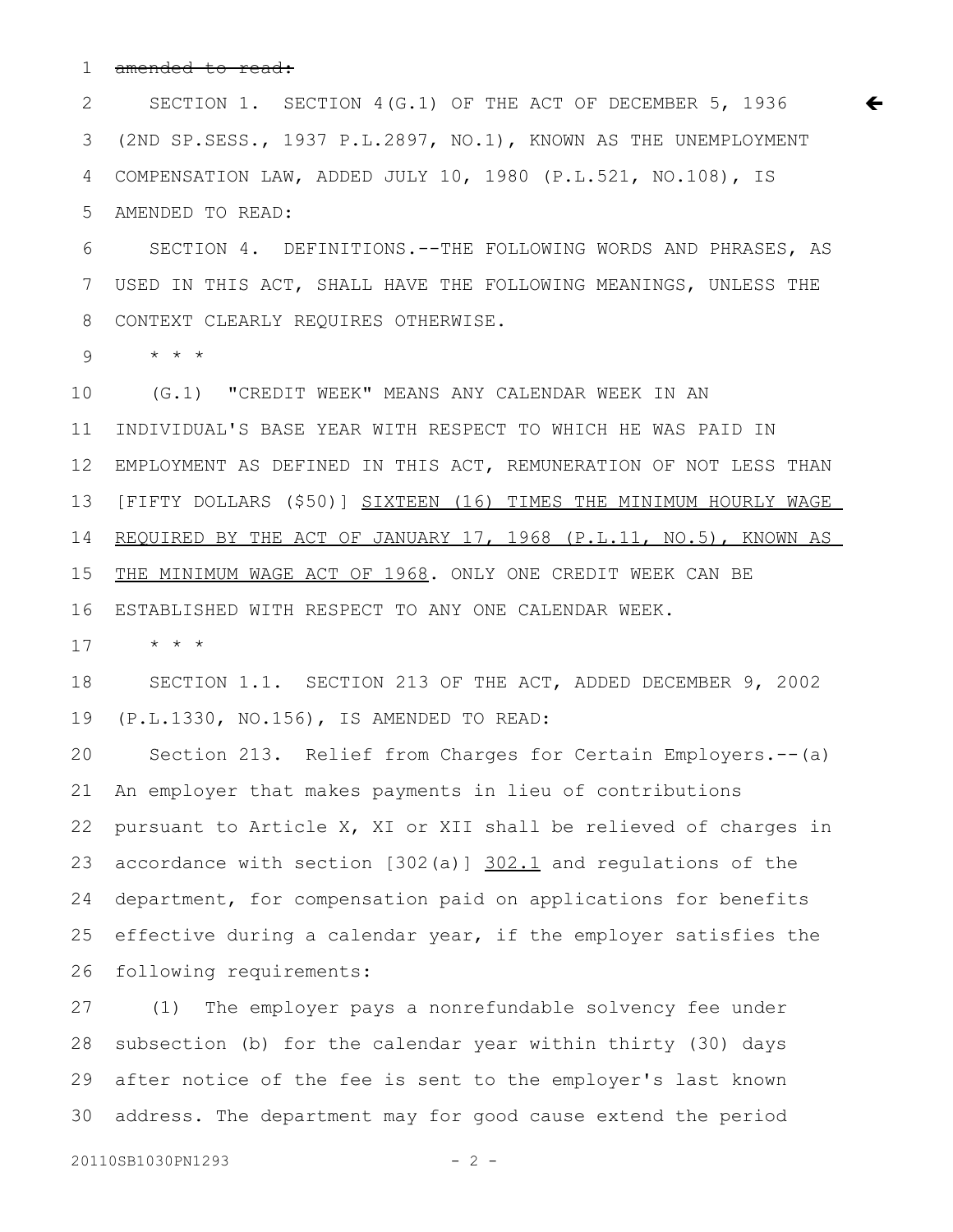amended to read: 1

SECTION 1. SECTION 4(G.1) OF THE ACT OF DECEMBER 5, 1936 (2ND SP.SESS., 1937 P.L.2897, NO.1), KNOWN AS THE UNEMPLOYMENT COMPENSATION LAW, ADDED JULY 10, 1980 (P.L.521, NO.108), IS AMENDED TO READ: 2 3 4 5

 $\leftarrow$ 

SECTION 4. DEFINITIONS.--THE FOLLOWING WORDS AND PHRASES, AS USED IN THIS ACT, SHALL HAVE THE FOLLOWING MEANINGS, UNLESS THE CONTEXT CLEARLY REQUIRES OTHERWISE. 6 7 8

\* \* \* 9

(G.1) "CREDIT WEEK" MEANS ANY CALENDAR WEEK IN AN INDIVIDUAL'S BASE YEAR WITH RESPECT TO WHICH HE WAS PAID IN EMPLOYMENT AS DEFINED IN THIS ACT, REMUNERATION OF NOT LESS THAN [FIFTY DOLLARS (\$50)] SIXTEEN (16) TIMES THE MINIMUM HOURLY WAGE REQUIRED BY THE ACT OF JANUARY 17, 1968 (P.L.11, NO.5), KNOWN AS THE MINIMUM WAGE ACT OF 1968. ONLY ONE CREDIT WEEK CAN BE ESTABLISHED WITH RESPECT TO ANY ONE CALENDAR WEEK. 10 11 12 13 14 15 16

\* \* \* 17

SECTION 1.1. SECTION 213 OF THE ACT, ADDED DECEMBER 9, 2002 (P.L.1330, NO.156), IS AMENDED TO READ: 18 19

Section 213. Relief from Charges for Certain Employers.--(a) An employer that makes payments in lieu of contributions pursuant to Article X, XI or XII shall be relieved of charges in accordance with section [302(a)] 302.1 and regulations of the department, for compensation paid on applications for benefits effective during a calendar year, if the employer satisfies the following requirements: 20 21 22 23 24 25 26

(1) The employer pays a nonrefundable solvency fee under subsection (b) for the calendar year within thirty (30) days after notice of the fee is sent to the employer's last known address. The department may for good cause extend the period 27 28 29 30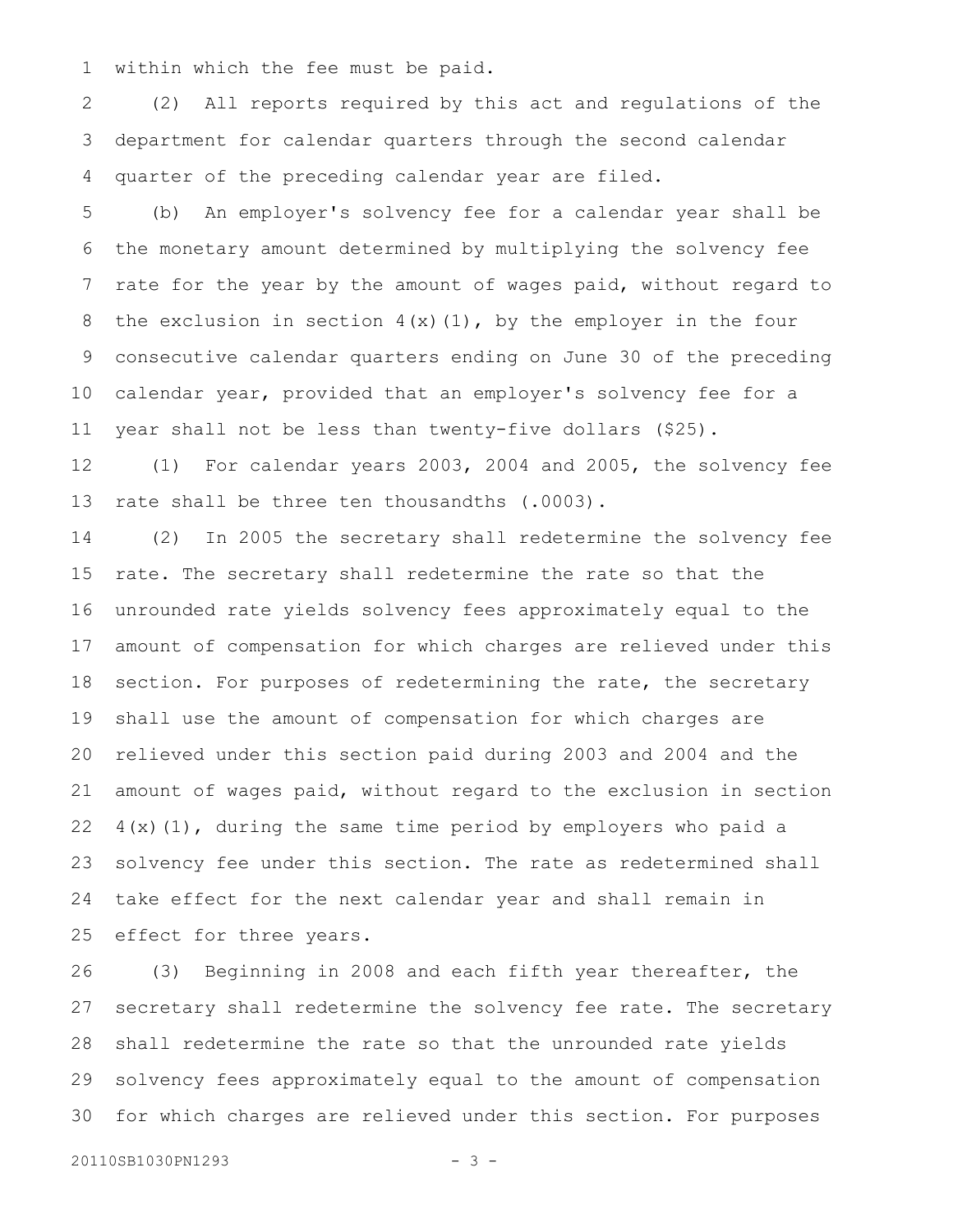within which the fee must be paid. 1

(2) All reports required by this act and regulations of the department for calendar quarters through the second calendar quarter of the preceding calendar year are filed. 2 3 4

(b) An employer's solvency fee for a calendar year shall be the monetary amount determined by multiplying the solvency fee rate for the year by the amount of wages paid, without regard to the exclusion in section  $4(x)(1)$ , by the employer in the four consecutive calendar quarters ending on June 30 of the preceding calendar year, provided that an employer's solvency fee for a year shall not be less than twenty-five dollars (\$25). 5 6 7 8 9 10 11

(1) For calendar years 2003, 2004 and 2005, the solvency fee rate shall be three ten thousandths (.0003). 12 13

(2) In 2005 the secretary shall redetermine the solvency fee rate. The secretary shall redetermine the rate so that the unrounded rate yields solvency fees approximately equal to the amount of compensation for which charges are relieved under this section. For purposes of redetermining the rate, the secretary shall use the amount of compensation for which charges are relieved under this section paid during 2003 and 2004 and the amount of wages paid, without regard to the exclusion in section  $4(x)(1)$ , during the same time period by employers who paid a solvency fee under this section. The rate as redetermined shall take effect for the next calendar year and shall remain in effect for three years. 14 15 16 17 18 19 20 21 22 23 24 25

(3) Beginning in 2008 and each fifth year thereafter, the secretary shall redetermine the solvency fee rate. The secretary shall redetermine the rate so that the unrounded rate yields solvency fees approximately equal to the amount of compensation for which charges are relieved under this section. For purposes 26 27 28 29 30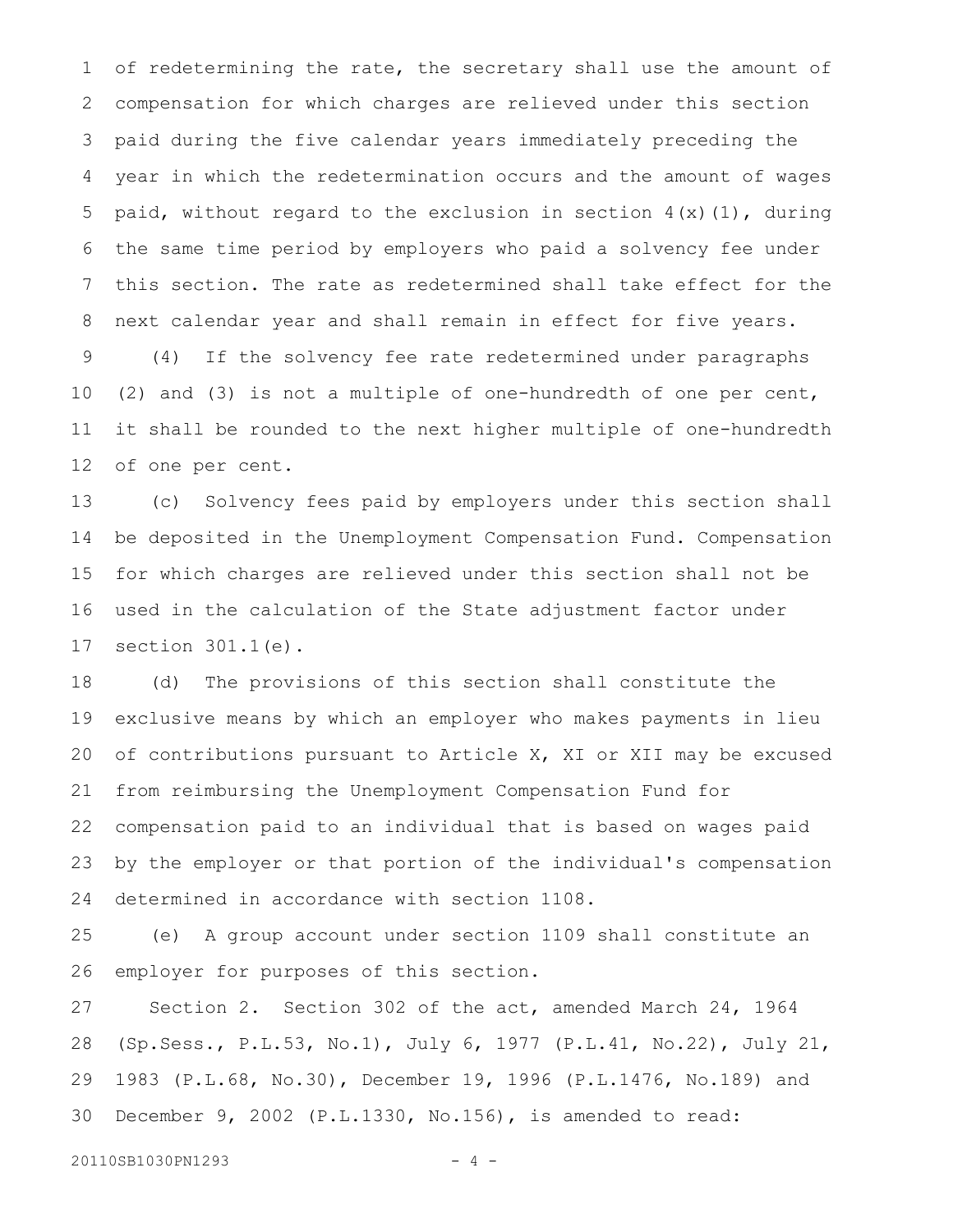of redetermining the rate, the secretary shall use the amount of compensation for which charges are relieved under this section paid during the five calendar years immediately preceding the year in which the redetermination occurs and the amount of wages paid, without regard to the exclusion in section  $4(x)(1)$ , during the same time period by employers who paid a solvency fee under this section. The rate as redetermined shall take effect for the next calendar year and shall remain in effect for five years. (4) If the solvency fee rate redetermined under paragraphs (2) and (3) is not a multiple of one-hundredth of one per cent, it shall be rounded to the next higher multiple of one-hundredth of one per cent. 1 2 3 4 5 6 7 8 9 10 11 12

(c) Solvency fees paid by employers under this section shall be deposited in the Unemployment Compensation Fund. Compensation for which charges are relieved under this section shall not be used in the calculation of the State adjustment factor under section 301.1(e). 13 14 15 16 17

(d) The provisions of this section shall constitute the exclusive means by which an employer who makes payments in lieu of contributions pursuant to Article X, XI or XII may be excused from reimbursing the Unemployment Compensation Fund for compensation paid to an individual that is based on wages paid by the employer or that portion of the individual's compensation determined in accordance with section 1108. 18 19 20 21 22 23 24

(e) A group account under section 1109 shall constitute an employer for purposes of this section. 25 26

Section 2. Section 302 of the act, amended March 24, 1964 (Sp.Sess., P.L.53, No.1), July 6, 1977 (P.L.41, No.22), July 21, 1983 (P.L.68, No.30), December 19, 1996 (P.L.1476, No.189) and December 9, 2002 (P.L.1330, No.156), is amended to read: 27 28 29 30

20110SB1030PN1293 - 4 -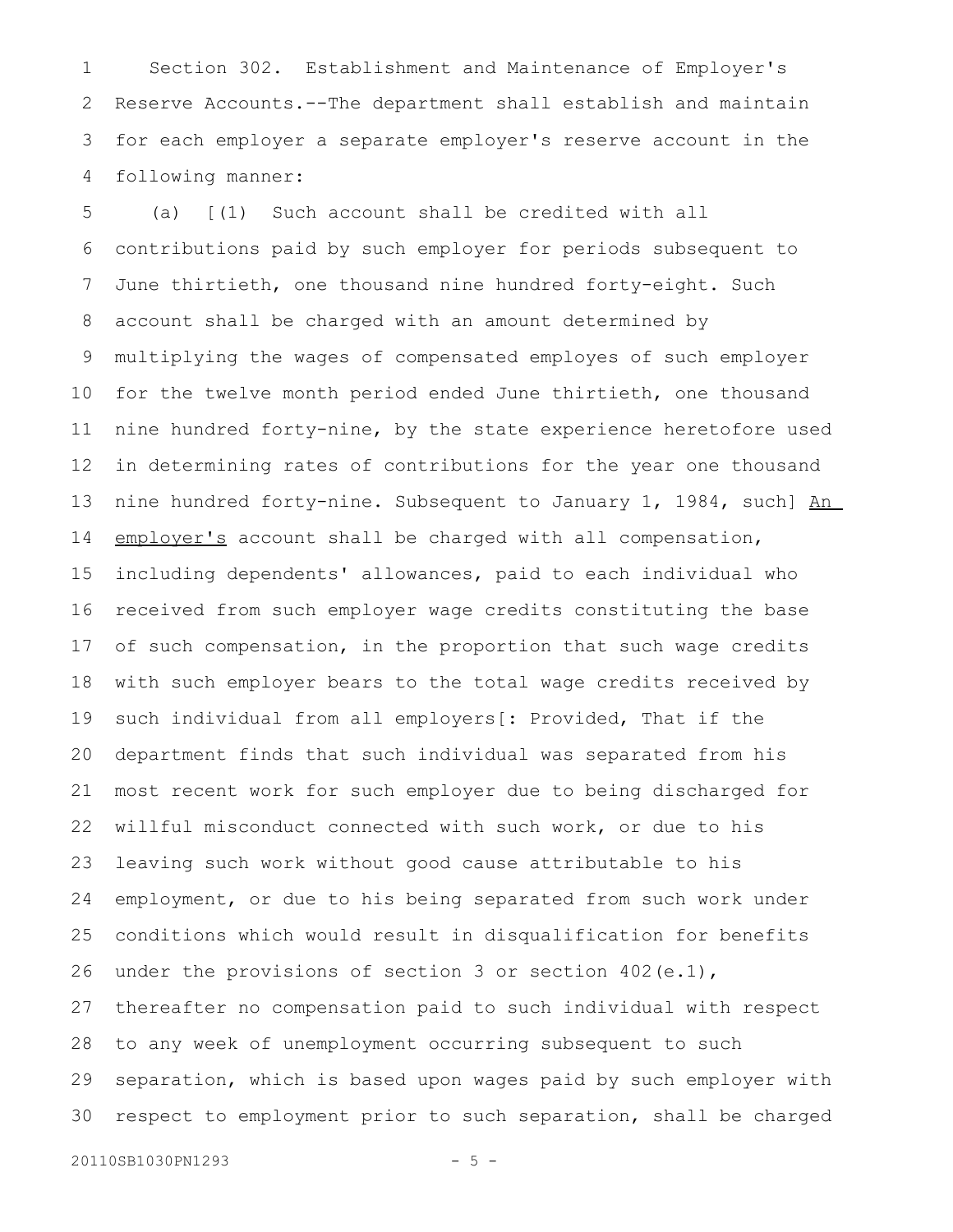Section 302. Establishment and Maintenance of Employer's Reserve Accounts.--The department shall establish and maintain for each employer a separate employer's reserve account in the following manner: 1 2 3 4

(a) [(1) Such account shall be credited with all contributions paid by such employer for periods subsequent to June thirtieth, one thousand nine hundred forty-eight. Such account shall be charged with an amount determined by multiplying the wages of compensated employes of such employer for the twelve month period ended June thirtieth, one thousand nine hundred forty-nine, by the state experience heretofore used in determining rates of contributions for the year one thousand nine hundred forty-nine. Subsequent to January 1, 1984, such] An employer's account shall be charged with all compensation, including dependents' allowances, paid to each individual who received from such employer wage credits constituting the base of such compensation, in the proportion that such wage credits with such employer bears to the total wage credits received by such individual from all employers[: Provided, That if the department finds that such individual was separated from his most recent work for such employer due to being discharged for willful misconduct connected with such work, or due to his leaving such work without good cause attributable to his employment, or due to his being separated from such work under conditions which would result in disqualification for benefits under the provisions of section 3 or section 402(e.1), thereafter no compensation paid to such individual with respect to any week of unemployment occurring subsequent to such separation, which is based upon wages paid by such employer with respect to employment prior to such separation, shall be charged 5 6 7 8 9 10 11 12 13 14 15 16 17 18 19 20 21 22 23 24 25 26 27 28 29 30

20110SB1030PN1293 - 5 -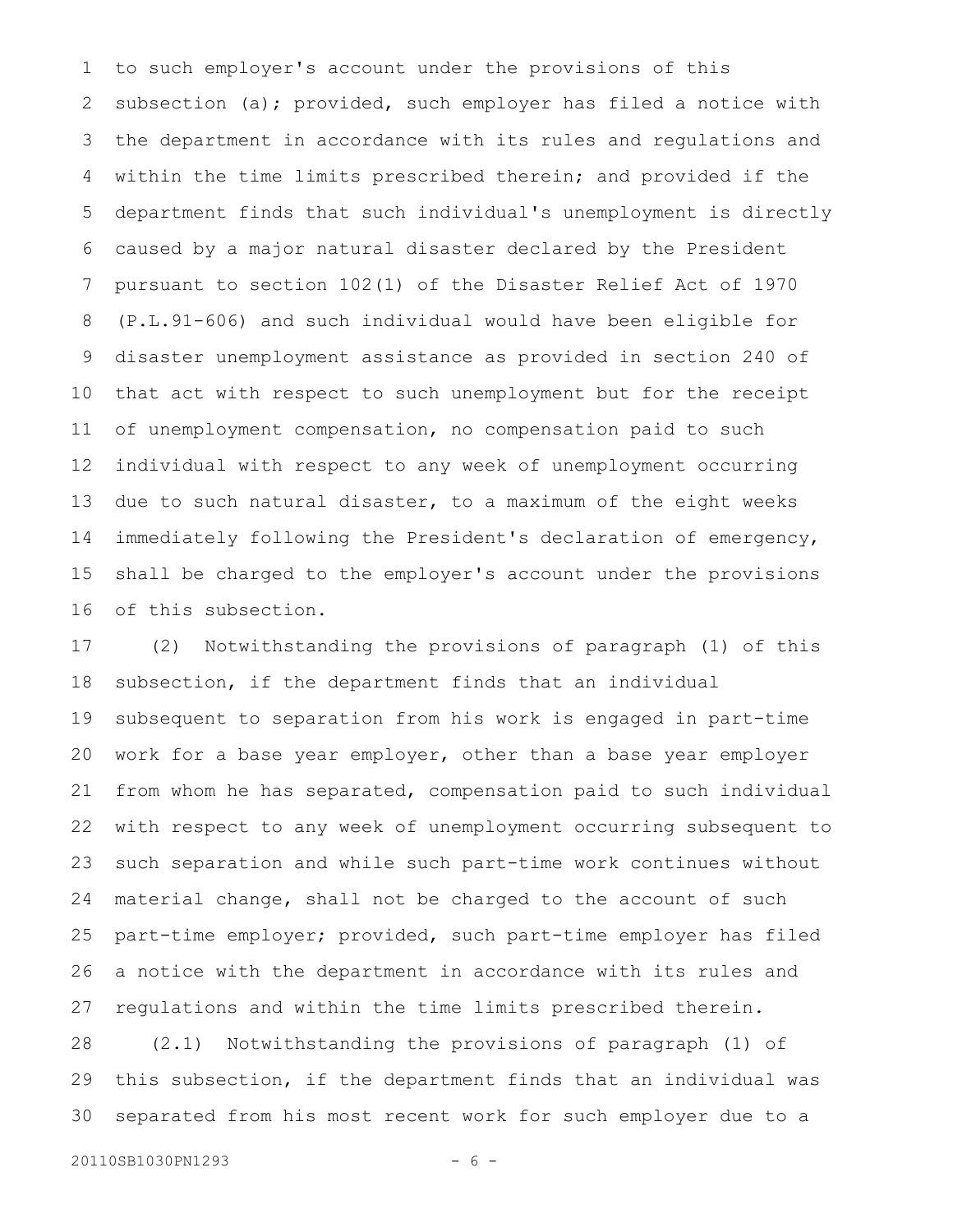to such employer's account under the provisions of this subsection (a); provided, such employer has filed a notice with the department in accordance with its rules and regulations and within the time limits prescribed therein; and provided if the department finds that such individual's unemployment is directly caused by a major natural disaster declared by the President pursuant to section 102(1) of the Disaster Relief Act of 1970 (P.L.91-606) and such individual would have been eligible for disaster unemployment assistance as provided in section 240 of that act with respect to such unemployment but for the receipt of unemployment compensation, no compensation paid to such individual with respect to any week of unemployment occurring due to such natural disaster, to a maximum of the eight weeks immediately following the President's declaration of emergency, shall be charged to the employer's account under the provisions of this subsection. 1 2 3 4 5 6 7 8 9 10 11 12 13 14 15 16

(2) Notwithstanding the provisions of paragraph (1) of this subsection, if the department finds that an individual subsequent to separation from his work is engaged in part-time work for a base year employer, other than a base year employer from whom he has separated, compensation paid to such individual with respect to any week of unemployment occurring subsequent to such separation and while such part-time work continues without material change, shall not be charged to the account of such part-time employer; provided, such part-time employer has filed a notice with the department in accordance with its rules and regulations and within the time limits prescribed therein. 17 18 19 20 21 22 23 24 25 26 27

(2.1) Notwithstanding the provisions of paragraph (1) of this subsection, if the department finds that an individual was separated from his most recent work for such employer due to a 28 29 30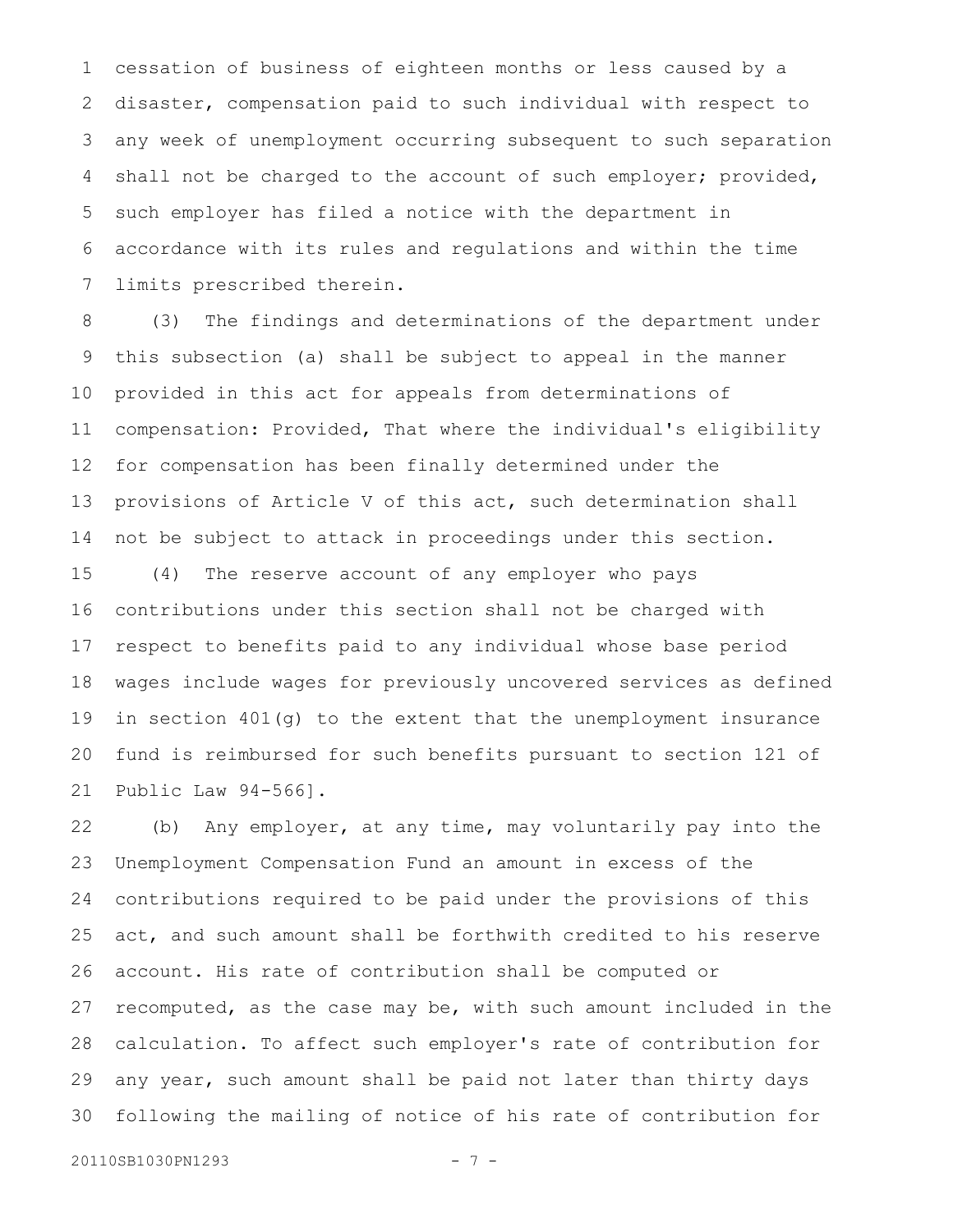cessation of business of eighteen months or less caused by a disaster, compensation paid to such individual with respect to any week of unemployment occurring subsequent to such separation shall not be charged to the account of such employer; provided, such employer has filed a notice with the department in accordance with its rules and regulations and within the time limits prescribed therein. 1 2 3 4 5 6 7

(3) The findings and determinations of the department under this subsection (a) shall be subject to appeal in the manner provided in this act for appeals from determinations of compensation: Provided, That where the individual's eligibility for compensation has been finally determined under the provisions of Article V of this act, such determination shall not be subject to attack in proceedings under this section. 8 9 10 11 12 13 14

(4) The reserve account of any employer who pays contributions under this section shall not be charged with respect to benefits paid to any individual whose base period wages include wages for previously uncovered services as defined in section 401(g) to the extent that the unemployment insurance fund is reimbursed for such benefits pursuant to section 121 of Public Law 94-566]. 15 16 17 18 19 20 21

(b) Any employer, at any time, may voluntarily pay into the Unemployment Compensation Fund an amount in excess of the contributions required to be paid under the provisions of this act, and such amount shall be forthwith credited to his reserve account. His rate of contribution shall be computed or recomputed, as the case may be, with such amount included in the calculation. To affect such employer's rate of contribution for any year, such amount shall be paid not later than thirty days following the mailing of notice of his rate of contribution for 22 23 24 25 26 27 28 29 30

20110SB1030PN1293 - 7 -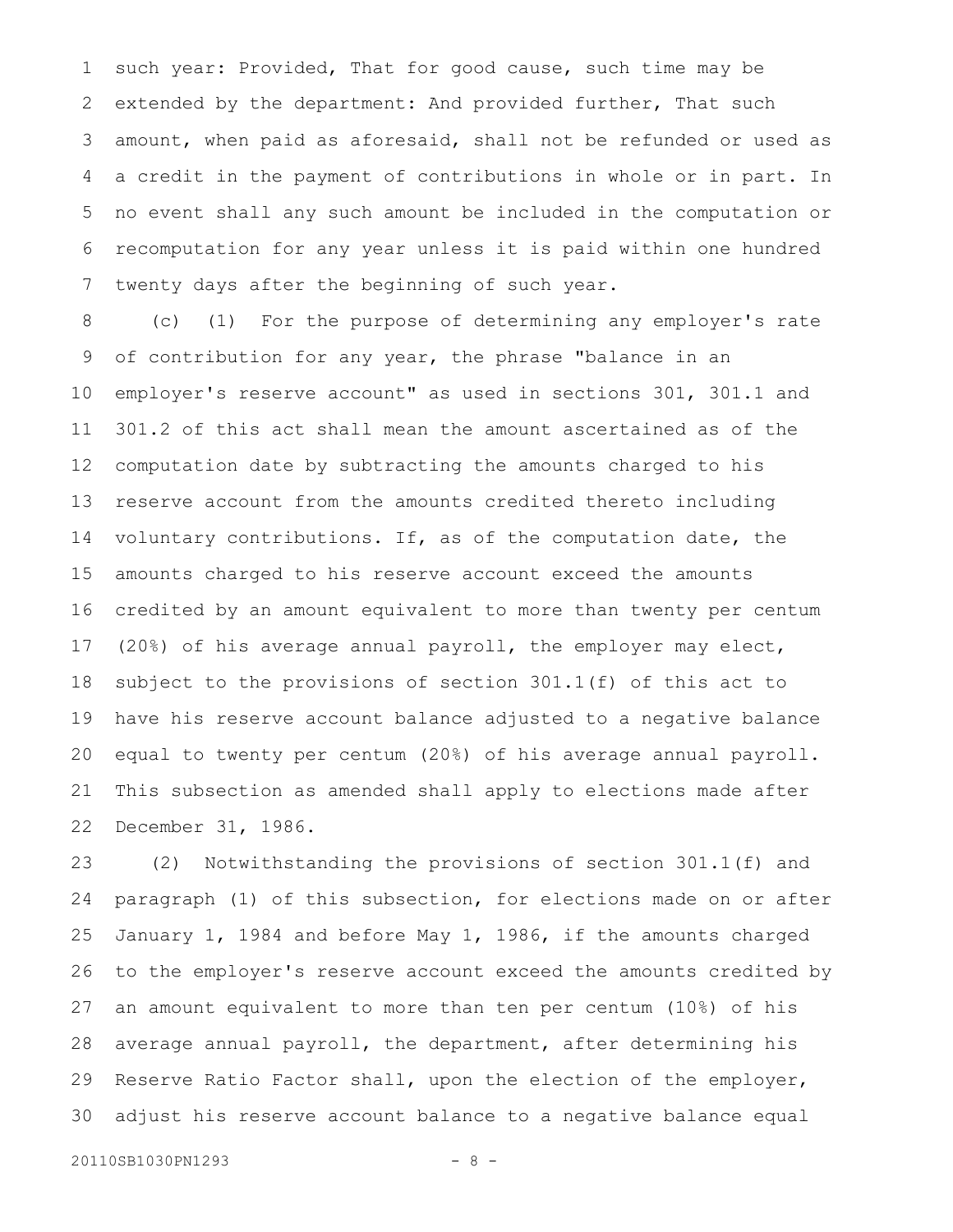such year: Provided, That for good cause, such time may be extended by the department: And provided further, That such amount, when paid as aforesaid, shall not be refunded or used as a credit in the payment of contributions in whole or in part. In no event shall any such amount be included in the computation or recomputation for any year unless it is paid within one hundred twenty days after the beginning of such year. 1 2 3 4 5 6 7

(c) (1) For the purpose of determining any employer's rate of contribution for any year, the phrase "balance in an employer's reserve account" as used in sections 301, 301.1 and 301.2 of this act shall mean the amount ascertained as of the computation date by subtracting the amounts charged to his reserve account from the amounts credited thereto including voluntary contributions. If, as of the computation date, the amounts charged to his reserve account exceed the amounts credited by an amount equivalent to more than twenty per centum (20%) of his average annual payroll, the employer may elect, subject to the provisions of section 301.1(f) of this act to have his reserve account balance adjusted to a negative balance equal to twenty per centum (20%) of his average annual payroll. This subsection as amended shall apply to elections made after December 31, 1986. 8 9 10 11 12 13 14 15 16 17 18 19 20 21 22

(2) Notwithstanding the provisions of section 301.1(f) and paragraph (1) of this subsection, for elections made on or after January 1, 1984 and before May 1, 1986, if the amounts charged to the employer's reserve account exceed the amounts credited by an amount equivalent to more than ten per centum (10%) of his average annual payroll, the department, after determining his Reserve Ratio Factor shall, upon the election of the employer, adjust his reserve account balance to a negative balance equal 23 24 25 26 27 28 29 30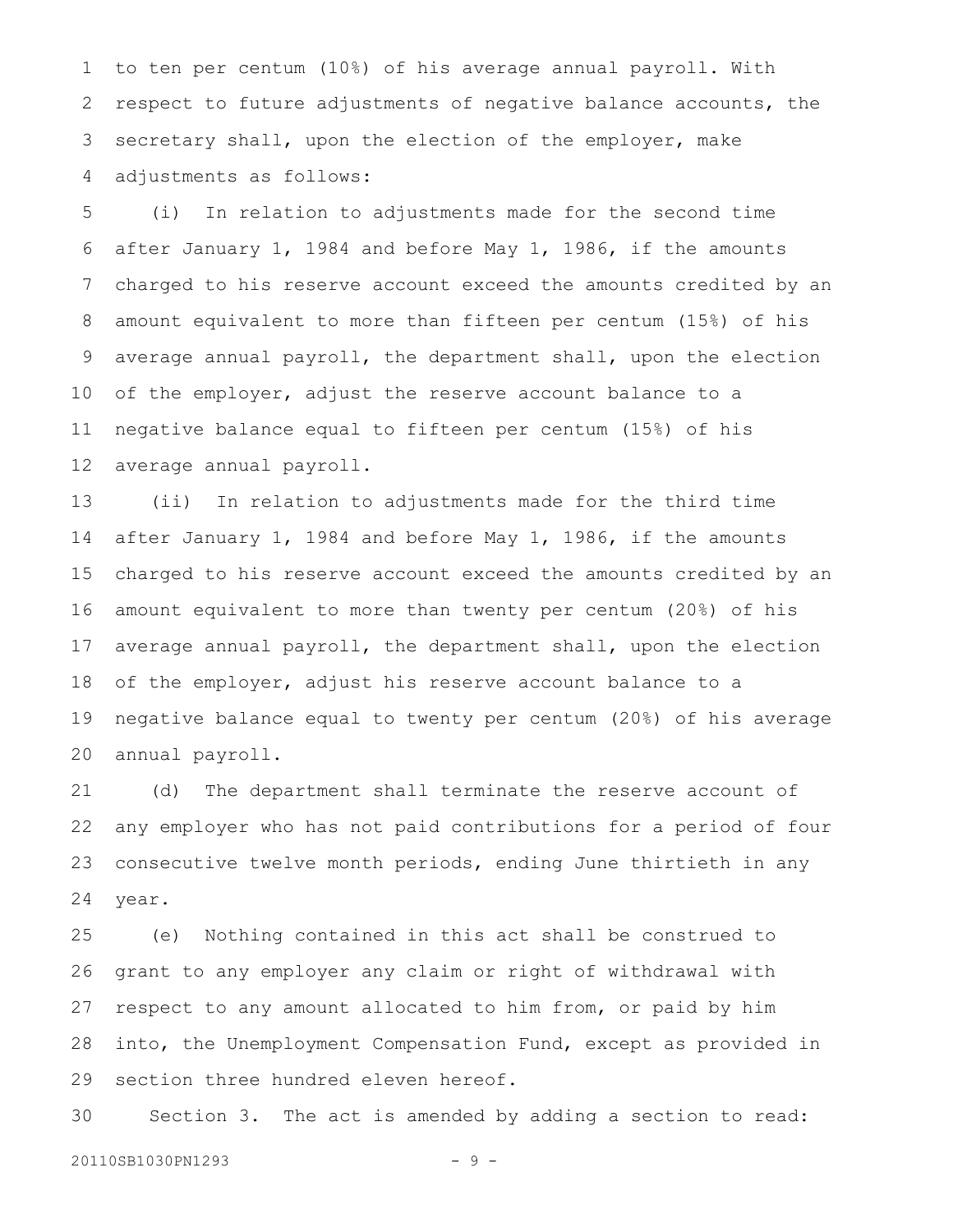to ten per centum (10%) of his average annual payroll. With respect to future adjustments of negative balance accounts, the secretary shall, upon the election of the employer, make adjustments as follows: 1 2 3 4

(i) In relation to adjustments made for the second time after January 1, 1984 and before May 1, 1986, if the amounts charged to his reserve account exceed the amounts credited by an amount equivalent to more than fifteen per centum (15%) of his average annual payroll, the department shall, upon the election of the employer, adjust the reserve account balance to a negative balance equal to fifteen per centum (15%) of his average annual payroll. 5 6 7 8 9 10 11 12

(ii) In relation to adjustments made for the third time after January 1, 1984 and before May 1, 1986, if the amounts charged to his reserve account exceed the amounts credited by an amount equivalent to more than twenty per centum (20%) of his average annual payroll, the department shall, upon the election of the employer, adjust his reserve account balance to a negative balance equal to twenty per centum (20%) of his average annual payroll. 13 14 15 16 17 18 19 20

(d) The department shall terminate the reserve account of any employer who has not paid contributions for a period of four consecutive twelve month periods, ending June thirtieth in any year. 21 22 23 24

(e) Nothing contained in this act shall be construed to grant to any employer any claim or right of withdrawal with respect to any amount allocated to him from, or paid by him into, the Unemployment Compensation Fund, except as provided in section three hundred eleven hereof. 25 26 27 28 29

Section 3. The act is amended by adding a section to read: 30

20110SB1030PN1293 - 9 -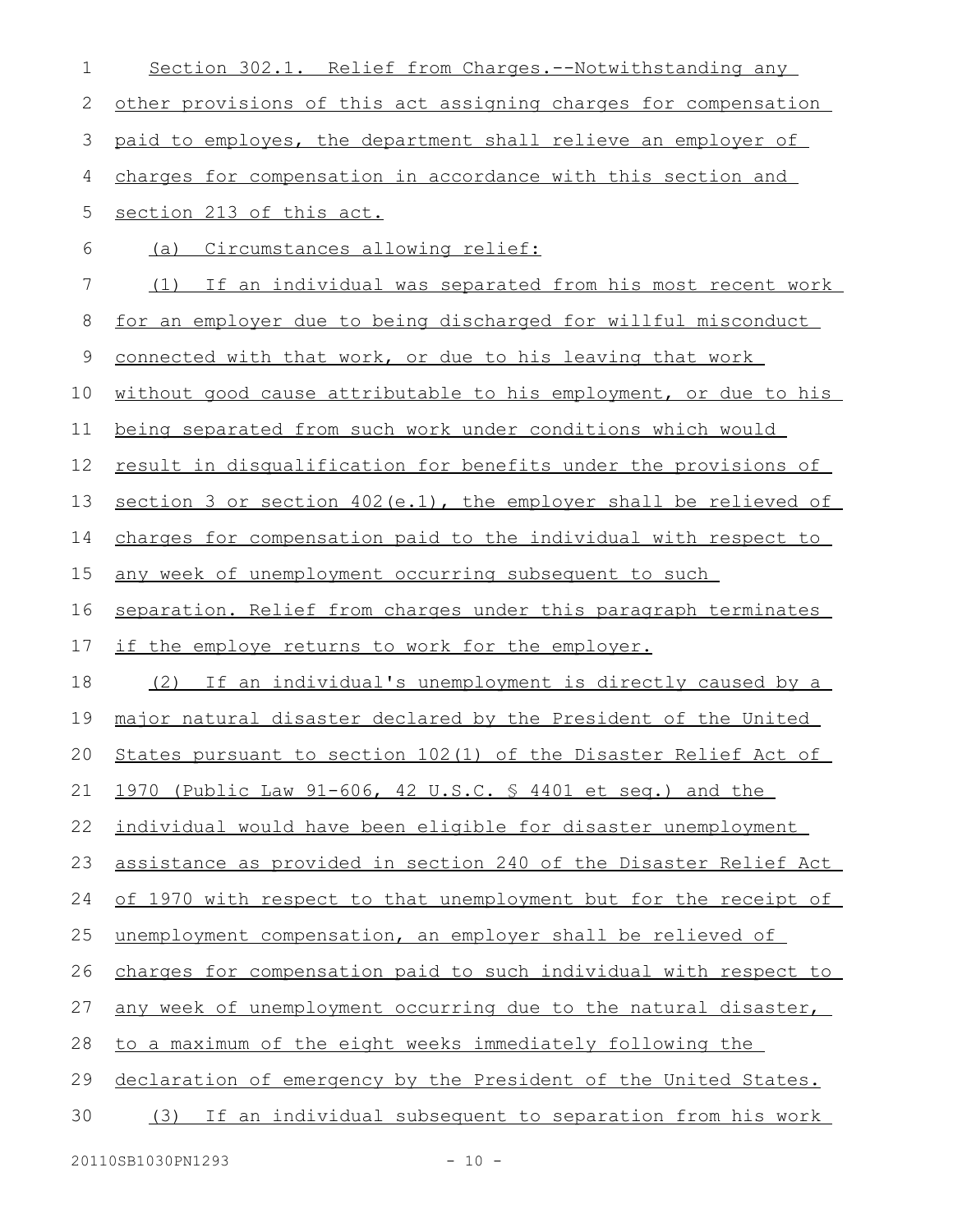| Section 302.1. Relief from Charges.--Notwithstanding any              |
|-----------------------------------------------------------------------|
| other provisions of this act assigning charges for compensation       |
| paid to employes, the department shall relieve an employer of         |
| charges for compensation in accordance with this section and          |
| section 213 of this act.                                              |
| (a) Circumstances allowing relief:                                    |
| (1) If an individual was separated from his most recent work          |
| for an employer due to being discharged for willful misconduct        |
| connected with that work, or due to his leaving that work             |
| without good cause attributable to his employment, or due to his      |
| being separated from such work under conditions which would           |
| result in disqualification for benefits under the provisions of       |
| section 3 or section 402(e.1), the employer shall be relieved of      |
| charges for compensation paid to the individual with respect to       |
| any week of unemployment occurring subsequent to such                 |
| separation. Relief from charges under this paragraph terminates       |
| if the employe returns to work for the employer.                      |
| (2) If an individual's unemployment is directly caused by a           |
| major natural disaster declared by the President of the United        |
| States pursuant to section 102(1) of the Disaster Relief Act of<br>20 |
| 1970 (Public Law 91-606, 42 U.S.C. \$ 4401 et seq.) and the           |
| individual would have been eligible for disaster unemployment         |
| assistance as provided in section 240 of the Disaster Relief Act      |
| of 1970 with respect to that unemployment but for the receipt of      |
| unemployment compensation, an employer shall be relieved of           |
| charges for compensation paid to such individual with respect to      |
| any week of unemployment occurring due to the natural disaster,       |
| to a maximum of the eight weeks immediately following the             |
| declaration of emergency by the President of the United States.       |
| (3) If an individual subsequent to separation from his work           |
|                                                                       |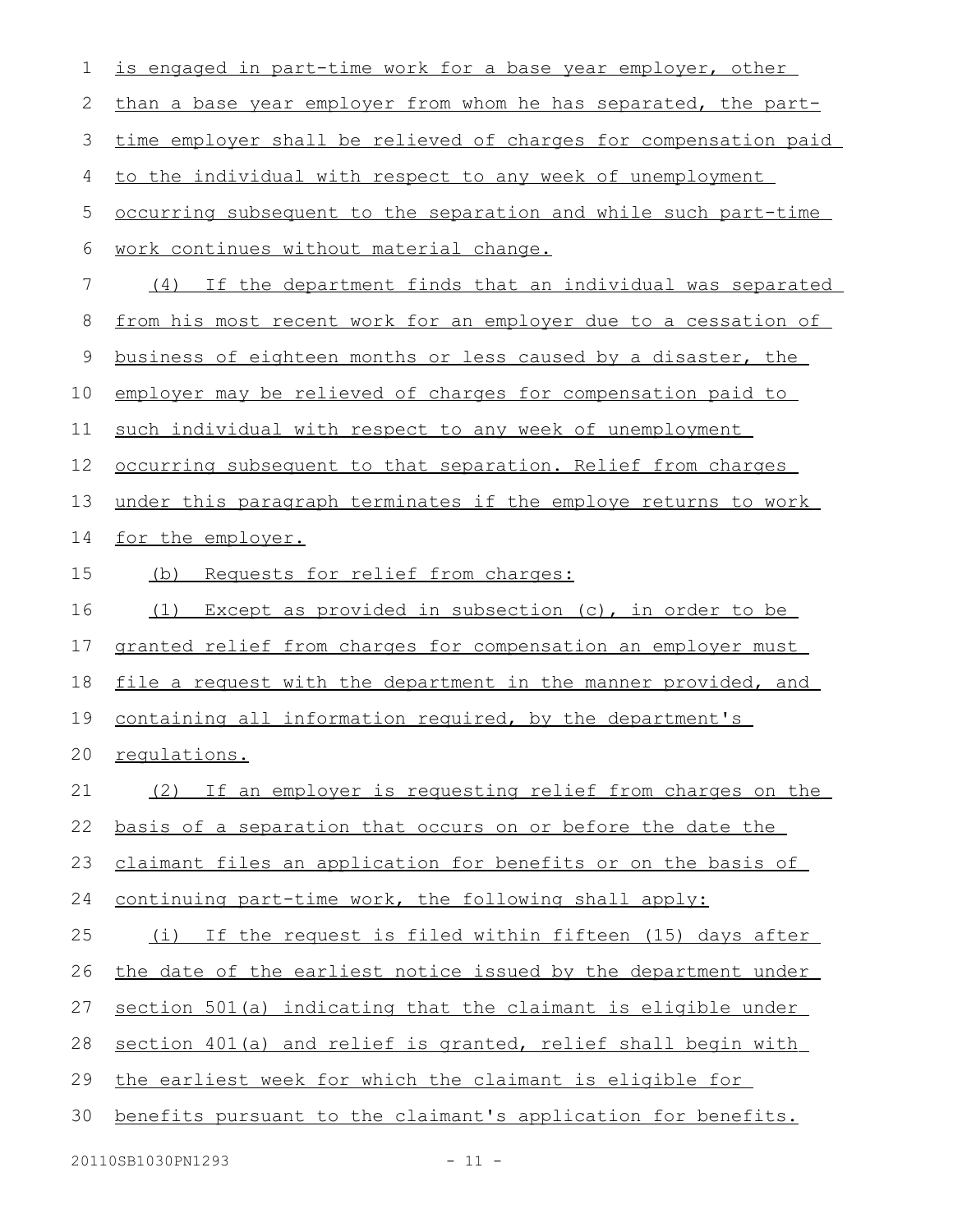| 1  | is engaged in part-time work for a base year employer, other     |
|----|------------------------------------------------------------------|
| 2  | than a base year employer from whom he has separated, the part-  |
| 3  | time employer shall be relieved of charges for compensation paid |
| 4  | to the individual with respect to any week of unemployment       |
| 5  | occurring subsequent to the separation and while such part-time  |
| 6  | work continues without material change.                          |
| 7  | (4) If the department finds that an individual was separated     |
| 8  | from his most recent work for an employer due to a cessation of  |
| 9  | business of eighteen months or less caused by a disaster, the    |
| 10 | employer may be relieved of charges for compensation paid to     |
| 11 | such individual with respect to any week of unemployment         |
| 12 | occurring subsequent to that separation. Relief from charges     |
| 13 | under this paragraph terminates if the employe returns to work   |
| 14 | for the employer.                                                |
| 15 | Requests for relief from charges:<br>(b)                         |
| 16 | Except as provided in subsection (c), in order to be<br>(1)      |
| 17 | granted relief from charges for compensation an employer must    |
| 18 | file a request with the department in the manner provided, and   |
| 19 | containing all information required, by the department's         |
| 20 | regulations.                                                     |
| 21 | (2) If an employer is requesting relief from charges on the      |
| 22 | basis of a separation that occurs on or before the date the      |
| 23 | claimant files an application for benefits or on the basis of    |
| 24 | continuing part-time work, the following shall apply:            |
| 25 | (i) If the request is filed within fifteen (15) days after       |
| 26 | the date of the earliest notice issued by the department under   |
| 27 | section 501(a) indicating that the claimant is eligible under    |
| 28 | section 401(a) and relief is granted, relief shall begin with    |
| 29 | the earliest week for which the claimant is eligible for         |
| 30 | benefits pursuant to the claimant's application for benefits.    |
|    | 20110SB1030PN1293<br>$-11 -$                                     |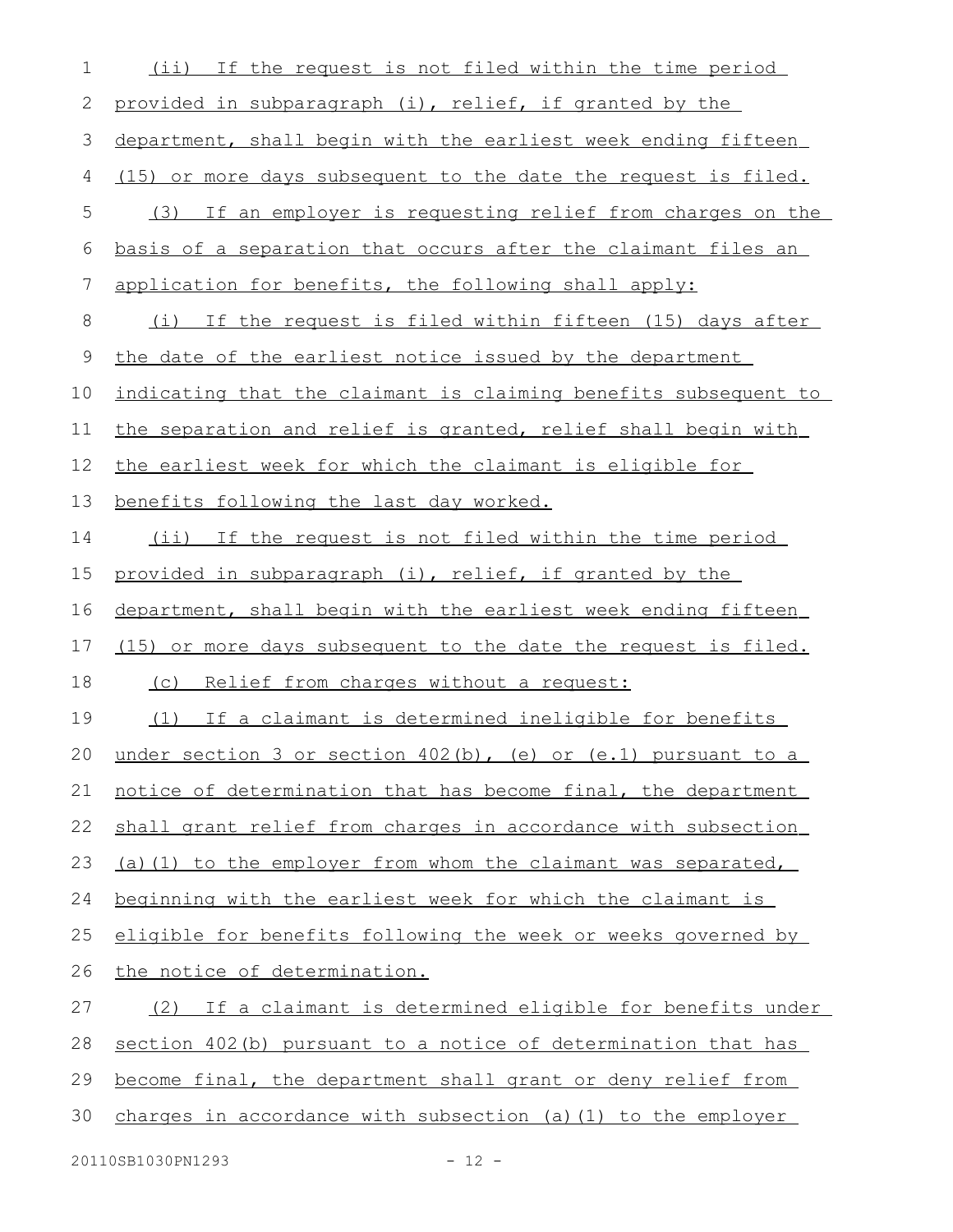| $\mathbf 1$ | (ii) If the request is not filed within the time period          |
|-------------|------------------------------------------------------------------|
| 2           | provided in subparagraph (i), relief, if granted by the          |
| 3           | department, shall begin with the earliest week ending fifteen    |
| 4           | (15) or more days subsequent to the date the request is filed.   |
| 5           | (3) If an employer is requesting relief from charges on the      |
| 6           | basis of a separation that occurs after the claimant files an    |
| 7           | application for benefits, the following shall apply:             |
| 8           | (i) If the request is filed within fifteen (15) days after       |
| $\mathsf 9$ | the date of the earliest notice issued by the department         |
| 10          | indicating that the claimant is claiming benefits subsequent to  |
| 11          | the separation and relief is granted, relief shall begin with    |
| 12          | the earliest week for which the claimant is eligible for         |
| 13          | benefits following the last day worked.                          |
| 14          | (ii) If the request is not filed within the time period          |
| 15          | provided in subparagraph (i), relief, if granted by the          |
| 16          | department, shall begin with the earliest week ending fifteen    |
| 17          | (15) or more days subsequent to the date the request is filed.   |
| 18          | (c) Relief from charges without a request:                       |
| 19          | (1) If a claimant is determined ineligible for benefits          |
|             | 20 under section 3 or section 402(b), (e) or (e.1) pursuant to a |
| 21          | notice of determination that has become final, the department    |
| 22          | shall grant relief from charges in accordance with subsection    |
| 23          | (a) (1) to the employer from whom the claimant was separated,    |
| 24          | beginning with the earliest week for which the claimant is       |
| 25          | eligible for benefits following the week or weeks governed by    |
| 26          | the notice of determination.                                     |
| 27          | (2) If a claimant is determined eligible for benefits under      |
| 28          | section 402(b) pursuant to a notice of determination that has    |
| 29          | become final, the department shall grant or deny relief from     |
| 30          | charges in accordance with subsection (a) (1) to the employer    |
|             |                                                                  |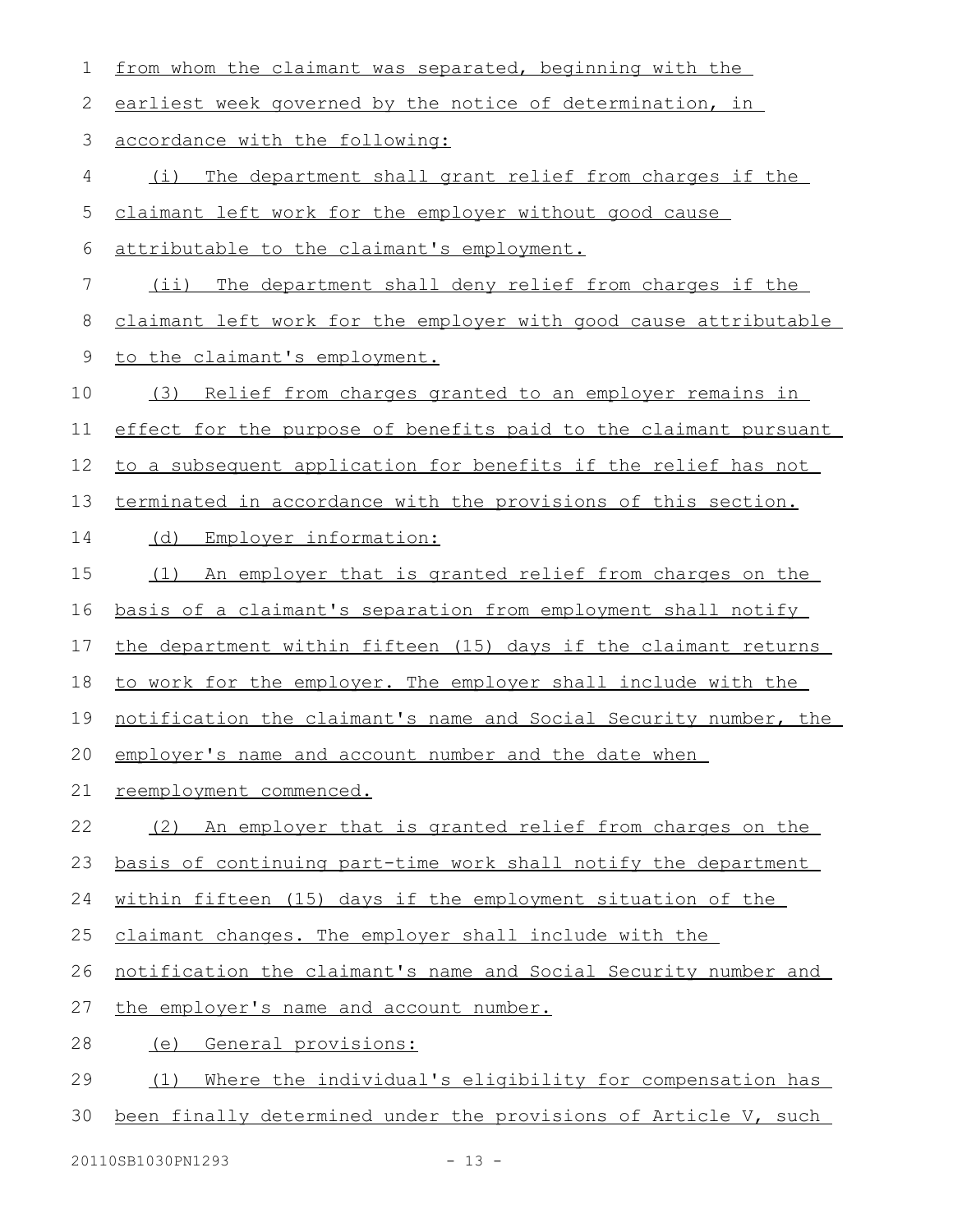| 1           | from whom the claimant was separated, beginning with the         |
|-------------|------------------------------------------------------------------|
| 2           | earliest week governed by the notice of determination, in        |
| 3           | accordance with the following:                                   |
| 4           | (i) The department shall grant relief from charges if the        |
| 5           | claimant left work for the employer without good cause           |
| 6           | attributable to the claimant's employment.                       |
| 7           | The department shall deny relief from charges if the<br>$(i$ i)  |
| 8           | claimant left work for the employer with good cause attributable |
| $\mathsf 9$ | to the claimant's employment.                                    |
| 10          | Relief from charges granted to an employer remains in<br>(3)     |
| 11          | effect for the purpose of benefits paid to the claimant pursuant |
| 12          | to a subsequent application for benefits if the relief has not   |
| 13          | terminated in accordance with the provisions of this section.    |
| 14          | Employer information:<br>(d)                                     |
| 15          | (1)<br>An employer that is granted relief from charges on the    |
| 16          | basis of a claimant's separation from employment shall notify    |
| 17          | the department within fifteen (15) days if the claimant returns  |
| 18          | to work for the employer. The employer shall include with the    |
| 19          | notification the claimant's name and Social Security number, the |
|             | 20 employer's name and account number and the date when          |
| 21          | reemployment commenced.                                          |
| 22          | (2) An employer that is granted relief from charges on the       |
| 23          | basis of continuing part-time work shall notify the department   |
| 24          | within fifteen (15) days if the employment situation of the      |
| 25          | claimant changes. The employer shall include with the            |
| 26          | notification the claimant's name and Social Security number and  |
| 27          | the employer's name and account number.                          |
| 28          | General provisions:<br>(e)                                       |
| 29          | Where the individual's eligibility for compensation has<br>(1)   |
| 30          | been finally determined under the provisions of Article V, such  |
|             |                                                                  |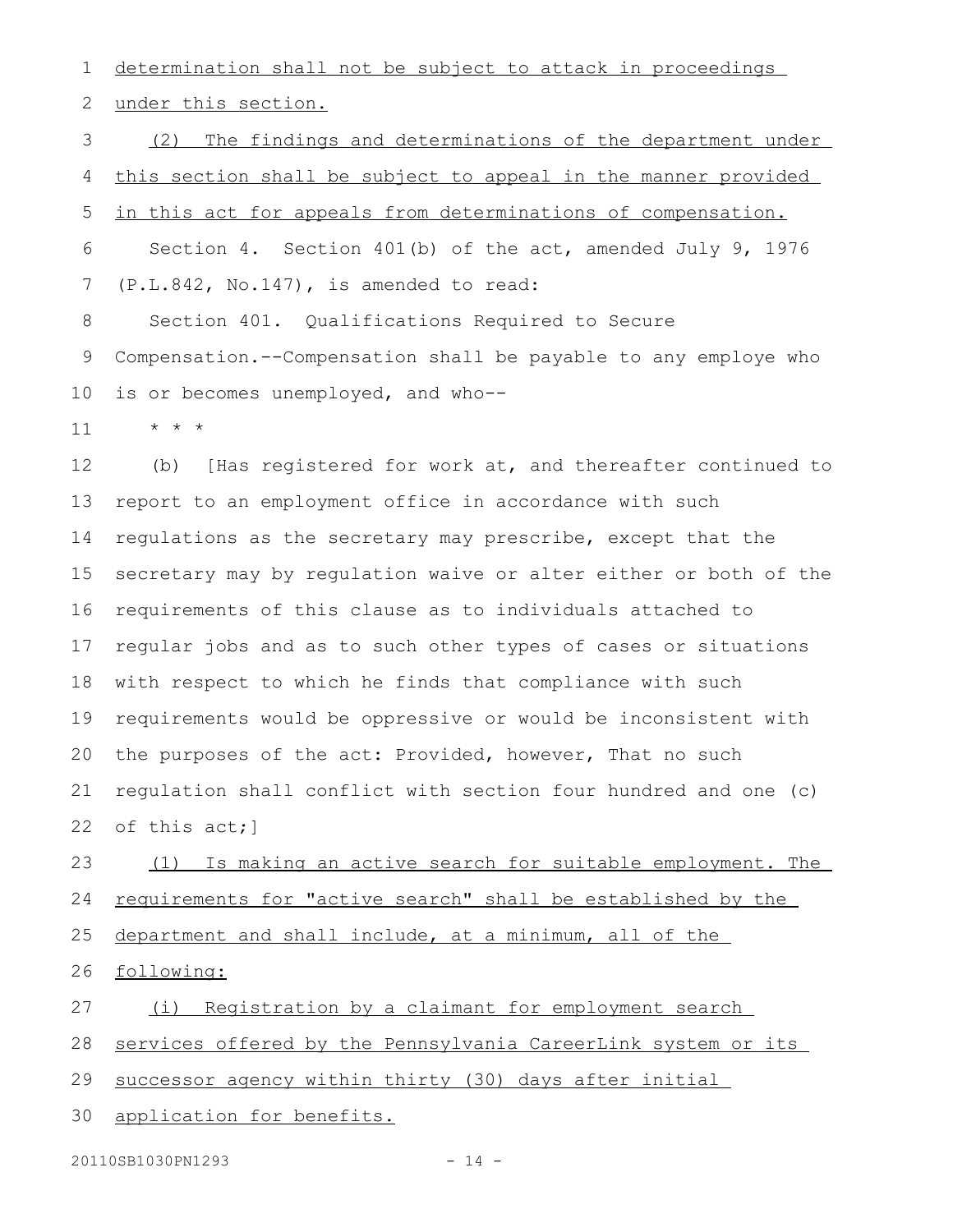determination shall not be subject to attack in proceedings 1

under this section. 2

(2) The findings and determinations of the department under this section shall be subject to appeal in the manner provided in this act for appeals from determinations of compensation. Section 4. Section 401(b) of the act, amended July 9, 1976 (P.L.842, No.147), is amended to read: Section 401. Qualifications Required to Secure Compensation.--Compensation shall be payable to any employe who is or becomes unemployed, and who-- 3 4 5 6 7 8 9 10

\* \* \* 11

(b) [Has registered for work at, and thereafter continued to report to an employment office in accordance with such regulations as the secretary may prescribe, except that the secretary may by regulation waive or alter either or both of the requirements of this clause as to individuals attached to regular jobs and as to such other types of cases or situations with respect to which he finds that compliance with such requirements would be oppressive or would be inconsistent with the purposes of the act: Provided, however, That no such regulation shall conflict with section four hundred and one (c) of this act;] 12 13 14 15 16 17 18 19 20 21 22

(1) Is making an active search for suitable employment. The requirements for "active search" shall be established by the department and shall include, at a minimum, all of the 23 24 25

following: 26

(i) Registration by a claimant for employment search 27

services offered by the Pennsylvania CareerLink system or its 28

successor agency within thirty (30) days after initial 29

application for benefits. 30

20110SB1030PN1293 - 14 -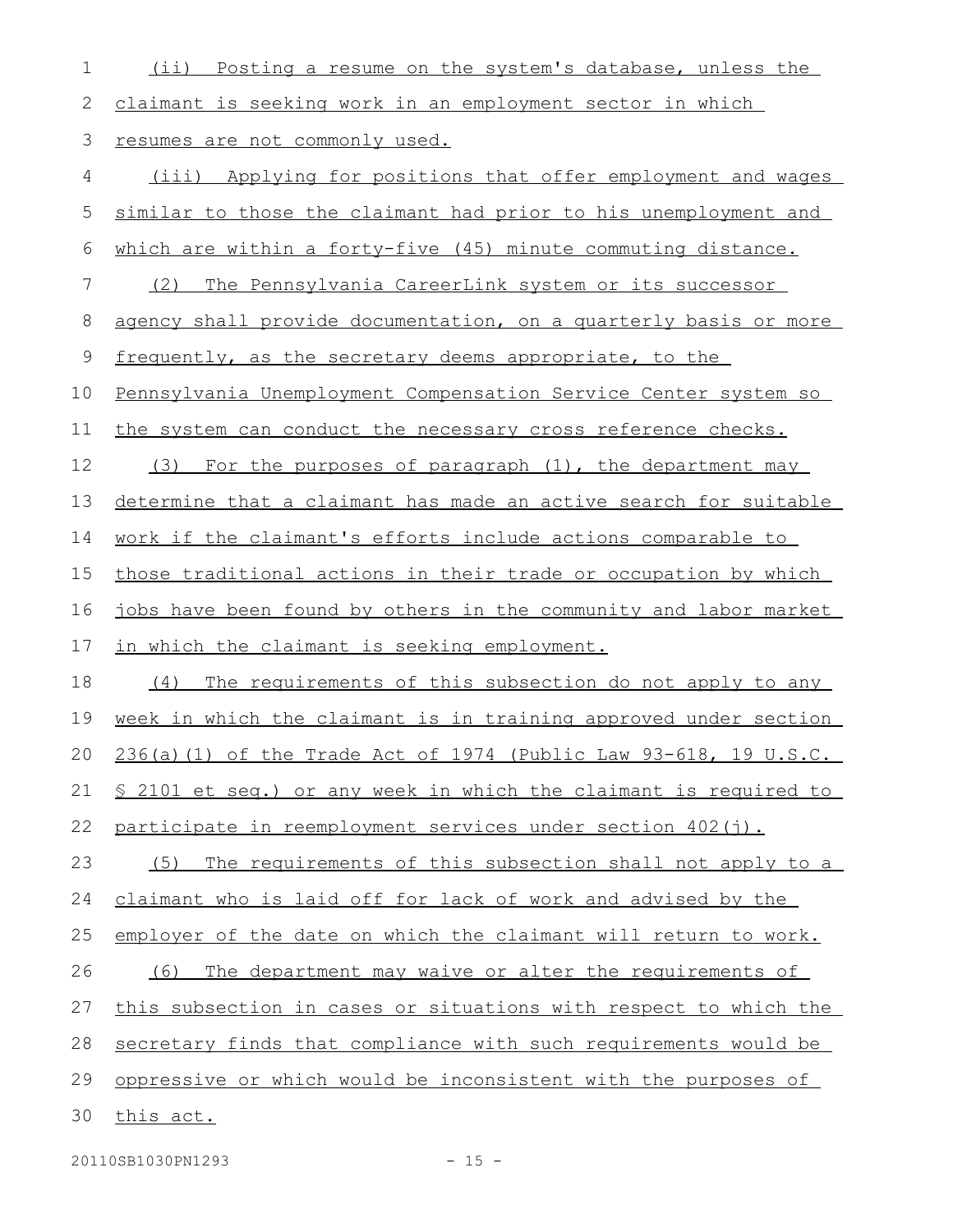| 1           | (ii) Posting a resume on the system's database, unless the              |
|-------------|-------------------------------------------------------------------------|
| 2           | claimant is seeking work in an employment sector in which               |
| 3           | resumes are not commonly used.                                          |
| 4           | (iii) Applying for positions that offer employment and wages            |
| 5           | similar to those the claimant had prior to his unemployment and         |
| 6           | which are within a forty-five (45) minute commuting distance.           |
| 7           | The Pennsylvania CareerLink system or its successor<br>(2)              |
| 8           | agency shall provide documentation, on a quarterly basis or more        |
| $\mathsf 9$ | frequently, as the secretary deems appropriate, to the                  |
| 10          | Pennsylvania Unemployment Compensation Service Center system so         |
| 11          | the system can conduct the necessary cross reference checks.            |
| 12          | (3)<br>For the purposes of paragraph (1), the department may            |
| 13          | determine that a claimant has made an active search for suitable        |
| 14          | <u>work if the claimant's efforts include actions comparable to</u>     |
| 15          | those traditional actions in their trade or occupation by which         |
| 16          | jobs have been found by others in the community and labor market        |
| 17          | in which the claimant is seeking employment.                            |
| 18          | The requirements of this subsection do not apply to any<br>(4)          |
| 19          | week in which the claimant is in training approved under section        |
| 20          | 236(a)(1) of the Trade Act of 1974 (Public Law 93-618, 19 U.S.C.        |
| 21          | <u>S 2101 et seq.) or any week in which the claimant is required to</u> |
| 22          | participate in reemployment services under section 402(j).              |
| 23          | The requirements of this subsection shall not apply to a<br>(5)         |
| 24          | claimant who is laid off for lack of work and advised by the            |
| 25          | employer of the date on which the claimant will return to work.         |
| 26          | The department may waive or alter the requirements of<br>(6)            |
| 27          | this subsection in cases or situations with respect to which the        |
| 28          | secretary finds that compliance with such requirements would be         |
| 29          | oppressive or which would be inconsistent with the purposes of          |
| 30          | this act.                                                               |
|             |                                                                         |

20110SB1030PN1293 - 15 -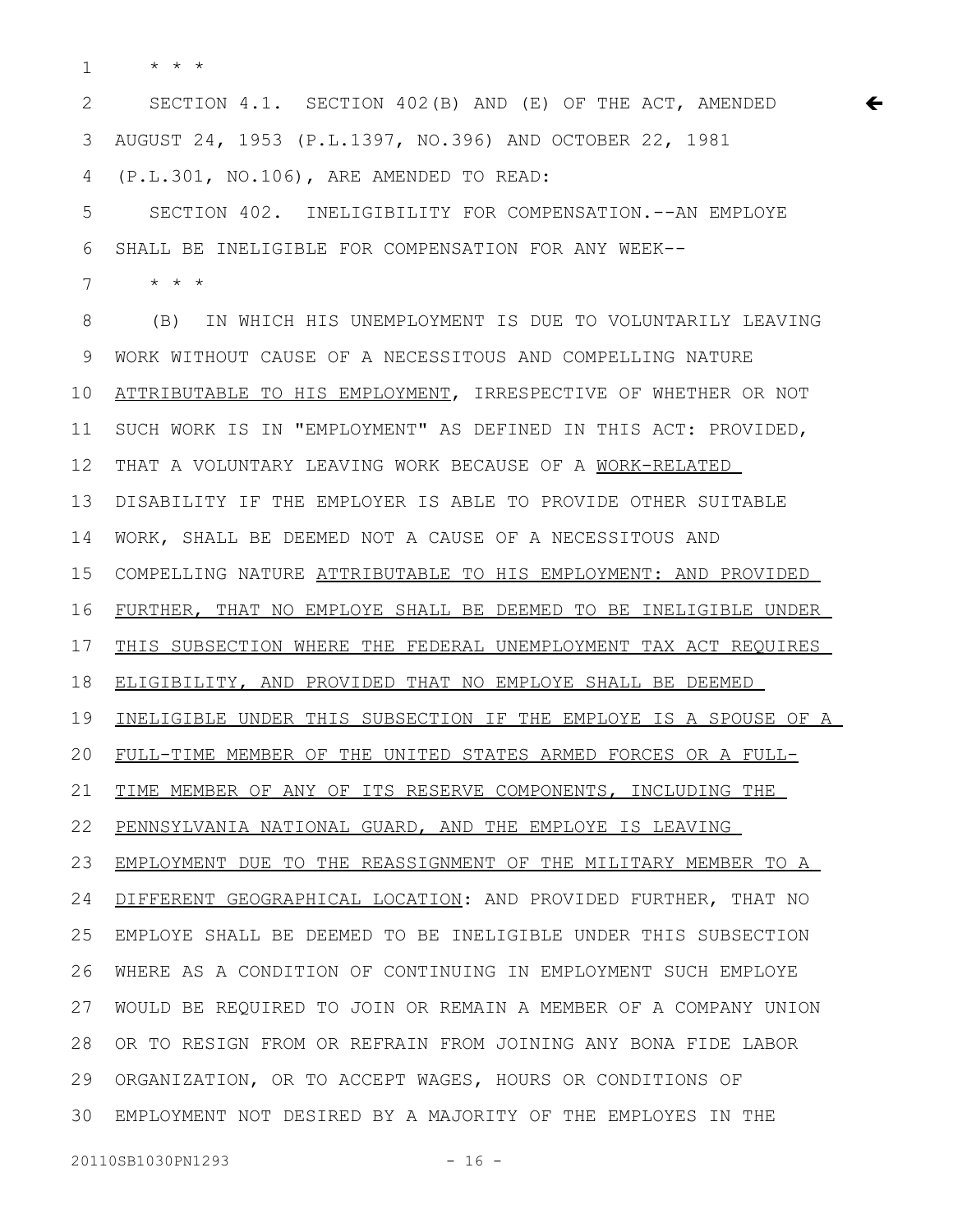\* \* \* 1

SECTION 4.1. SECTION 402(B) AND (E) OF THE ACT, AMENDED AUGUST 24, 1953 (P.L.1397, NO.396) AND OCTOBER 22, 1981 (P.L.301, NO.106), ARE AMENDED TO READ: 2 3 4

 $\leftarrow$ 

SECTION 402. INELIGIBILITY FOR COMPENSATION.--AN EMPLOYE SHALL BE INELIGIBLE FOR COMPENSATION FOR ANY WEEK-- 5 6

\* \* \* 7

(B) IN WHICH HIS UNEMPLOYMENT IS DUE TO VOLUNTARILY LEAVING WORK WITHOUT CAUSE OF A NECESSITOUS AND COMPELLING NATURE ATTRIBUTABLE TO HIS EMPLOYMENT, IRRESPECTIVE OF WHETHER OR NOT SUCH WORK IS IN "EMPLOYMENT" AS DEFINED IN THIS ACT: PROVIDED, THAT A VOLUNTARY LEAVING WORK BECAUSE OF A WORK-RELATED DISABILITY IF THE EMPLOYER IS ABLE TO PROVIDE OTHER SUITABLE WORK, SHALL BE DEEMED NOT A CAUSE OF A NECESSITOUS AND COMPELLING NATURE ATTRIBUTABLE TO HIS EMPLOYMENT : AND PROVIDED FURTHER, THAT NO EMPLOYE SHALL BE DEEMED TO BE INELIGIBLE UNDER THIS SUBSECTION WHERE THE FEDERAL UNEMPLOYMENT TAX ACT REQUIRES ELIGIBILITY, AND PROVIDED THAT NO EMPLOYE SHALL BE DEEMED INELIGIBLE UNDER THIS SUBSECTION IF THE EMPLOYE IS A SPOUSE OF A FULL-TIME MEMBER OF THE UNITED STATES ARMED FORCES OR A FULL-TIME MEMBER OF ANY OF ITS RESERVE COMPONENTS, INCLUDING THE PENNSYLVANIA NATIONAL GUARD, AND THE EMPLOYE IS LEAVING EMPLOYMENT DUE TO THE REASSIGNMENT OF THE MILITARY MEMBER TO A DIFFERENT GEOGRAPHICAL LOCATION: AND PROVIDED FURTHER, THAT NO EMPLOYE SHALL BE DEEMED TO BE INELIGIBLE UNDER THIS SUBSECTION WHERE AS A CONDITION OF CONTINUING IN EMPLOYMENT SUCH EMPLOYE WOULD BE REQUIRED TO JOIN OR REMAIN A MEMBER OF A COMPANY UNION OR TO RESIGN FROM OR REFRAIN FROM JOINING ANY BONA FIDE LABOR 28 ORGANIZATION, OR TO ACCEPT WAGES, HOURS OR CONDITIONS OF EMPLOYMENT NOT DESIRED BY A MAJORITY OF THE EMPLOYES IN THE 308 9 10 11 12 13 14 15 16 17 18 19 20 21 22 23 24 25 26 27 29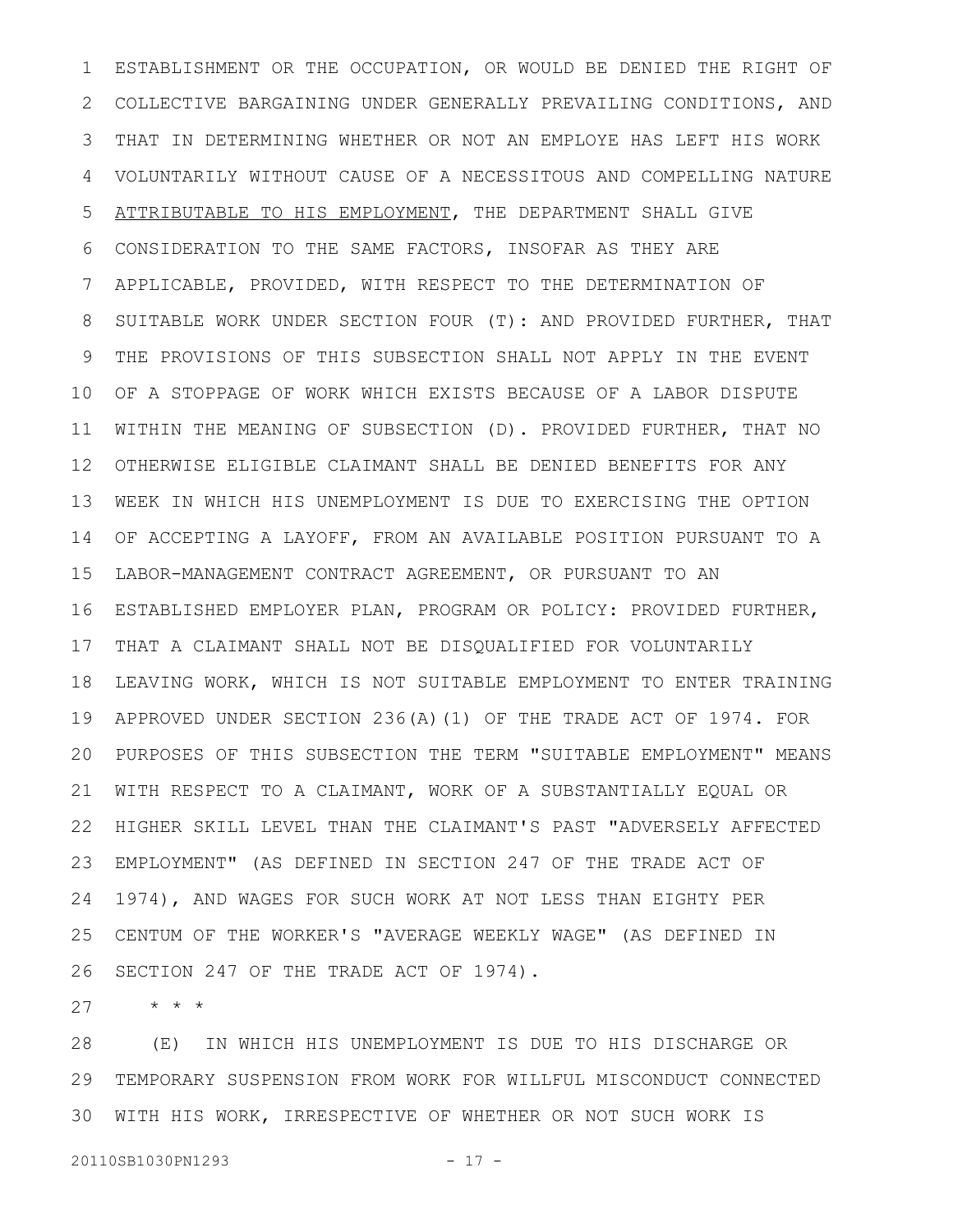ESTABLISHMENT OR THE OCCUPATION, OR WOULD BE DENIED THE RIGHT OF COLLECTIVE BARGAINING UNDER GENERALLY PREVAILING CONDITIONS, AND THAT IN DETERMINING WHETHER OR NOT AN EMPLOYE HAS LEFT HIS WORK VOLUNTARILY WITHOUT CAUSE OF A NECESSITOUS AND COMPELLING NATURE ATTRIBUTABLE TO HIS EMPLOYMENT, THE DEPARTMENT SHALL GIVE CONSIDERATION TO THE SAME FACTORS, INSOFAR AS THEY ARE APPLICABLE, PROVIDED, WITH RESPECT TO THE DETERMINATION OF SUITABLE WORK UNDER SECTION FOUR (T): AND PROVIDED FURTHER, THAT THE PROVISIONS OF THIS SUBSECTION SHALL NOT APPLY IN THE EVENT OF A STOPPAGE OF WORK WHICH EXISTS BECAUSE OF A LABOR DISPUTE WITHIN THE MEANING OF SUBSECTION (D). PROVIDED FURTHER, THAT NO OTHERWISE ELIGIBLE CLAIMANT SHALL BE DENIED BENEFITS FOR ANY WEEK IN WHICH HIS UNEMPLOYMENT IS DUE TO EXERCISING THE OPTION OF ACCEPTING A LAYOFF, FROM AN AVAILABLE POSITION PURSUANT TO A LABOR-MANAGEMENT CONTRACT AGREEMENT, OR PURSUANT TO AN ESTABLISHED EMPLOYER PLAN, PROGRAM OR POLICY: PROVIDED FURTHER, 16 17 THAT A CLAIMANT SHALL NOT BE DISQUALIFIED FOR VOLUNTARILY LEAVING WORK, WHICH IS NOT SUITABLE EMPLOYMENT TO ENTER TRAINING APPROVED UNDER SECTION 236(A)(1) OF THE TRADE ACT OF 1974. FOR PURPOSES OF THIS SUBSECTION THE TERM "SUITABLE EMPLOYMENT" MEANS 20 WITH RESPECT TO A CLAIMANT, WORK OF A SUBSTANTIALLY EQUAL OR HIGHER SKILL LEVEL THAN THE CLAIMANT'S PAST "ADVERSELY AFFECTED EMPLOYMENT" (AS DEFINED IN SECTION 247 OF THE TRADE ACT OF 1974), AND WAGES FOR SUCH WORK AT NOT LESS THAN EIGHTY PER CENTUM OF THE WORKER'S "AVERAGE WEEKLY WAGE" (AS DEFINED IN SECTION 247 OF THE TRADE ACT OF 1974). 1 2 3 4 5 6 7 8 9 10 11 12 13 14 15 18 19 21 22 23 24 25 26

\* \* \* 27

(E) IN WHICH HIS UNEMPLOYMENT IS DUE TO HIS DISCHARGE OR TEMPORARY SUSPENSION FROM WORK FOR WILLFUL MISCONDUCT CONNECTED 30 WITH HIS WORK, IRRESPECTIVE OF WHETHER OR NOT SUCH WORK IS 28 29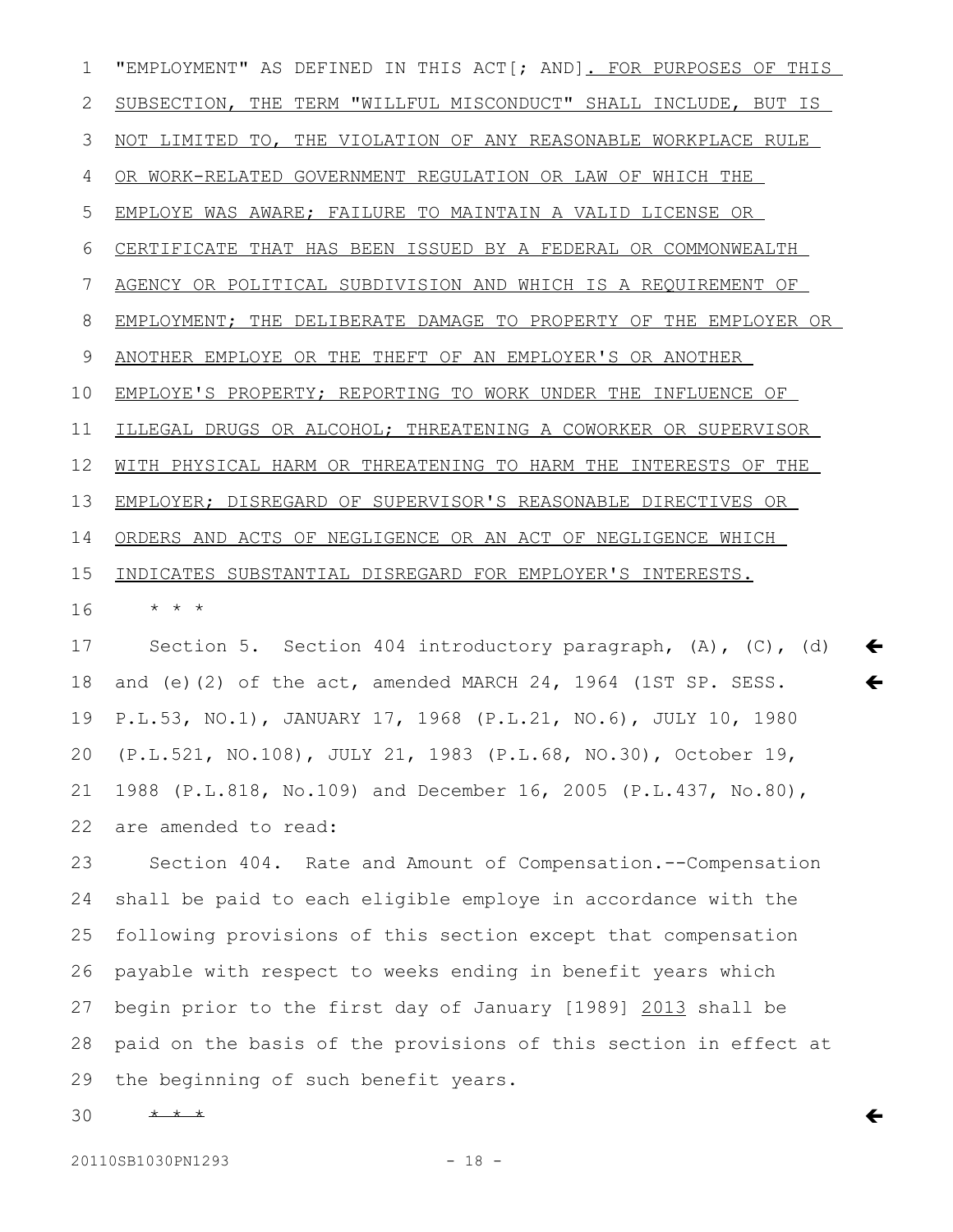"EMPLOYMENT" AS DEFINED IN THIS ACT[; AND]. FOR PURPOSES OF THIS SUBSECTION, THE TERM "WILLFUL MISCONDUCT" SHALL INCLUDE, BUT IS NOT LIMITED TO, THE VIOLATION OF ANY REASONABLE WORKPLACE RULE OR WORK-RELATED GOVERNMENT REGULATION OR LAW OF WHICH THE EMPLOYE WAS AWARE; FAILURE TO MAINTAIN A VALID LICENSE OR CERTIFICATE THAT HAS BEEN ISSUED BY A FEDERAL OR COMMONWEALTH AGENCY OR POLITICAL SUBDIVISION AND WHICH IS A REQUIREMENT OF EMPLOYMENT; THE DELIBERATE DAMAGE TO PROPERTY OF THE EMPLOYER OR ANOTHER EMPLOYE OR THE THEFT OF AN EMPLOYER'S OR ANOTHER EMPLOYE'S PROPERTY; REPORTING TO WORK UNDER THE INFLUENCE OF ILLEGAL DRUGS OR ALCOHOL; THREATENING A COWORKER OR SUPERVISOR WITH PHYSICAL HARM OR THREATENING TO HARM THE INTERESTS OF THE EMPLOYER; DISREGARD OF SUPERVISOR'S REASONABLE DIRECTIVES OR ORDERS AND ACTS OF NEGLIGENCE OR AN ACT OF NEGLIGENCE WHICH INDICATES SUBSTANTIAL DISREGARD FOR EMPLOYER'S INTERESTS. \* \* \* Section 5. Section 404 introductory paragraph, (A), (C), (d) and (e)(2) of the act, amended MARCH 24, 1964 (1ST SP. SESS. 1 2 3 4 5 6 7 8 9 10 11 12 13 14 15 16 17 18

P.L.53, NO.1), JANUARY 17, 1968 (P.L.21, NO.6), JULY 10, 1980 (P.L.521, NO.108), JULY 21, 1983 (P.L.68, NO.30), October 19, 1988 (P.L.818, No.109) and December 16, 2005 (P.L.437, No.80), are amended to read: 19 20 21 22

 $\leftarrow$ 

 $\leftarrow$ 

 $\leftarrow$ 

Section 404. Rate and Amount of Compensation.--Compensation shall be paid to each eligible employe in accordance with the following provisions of this section except that compensation payable with respect to weeks ending in benefit years which begin prior to the first day of January [1989] 2013 shall be paid on the basis of the provisions of this section in effect at the beginning of such benefit years. 23 24 25 26 27 28 29

\* \* \* 30

20110SB1030PN1293 - 18 -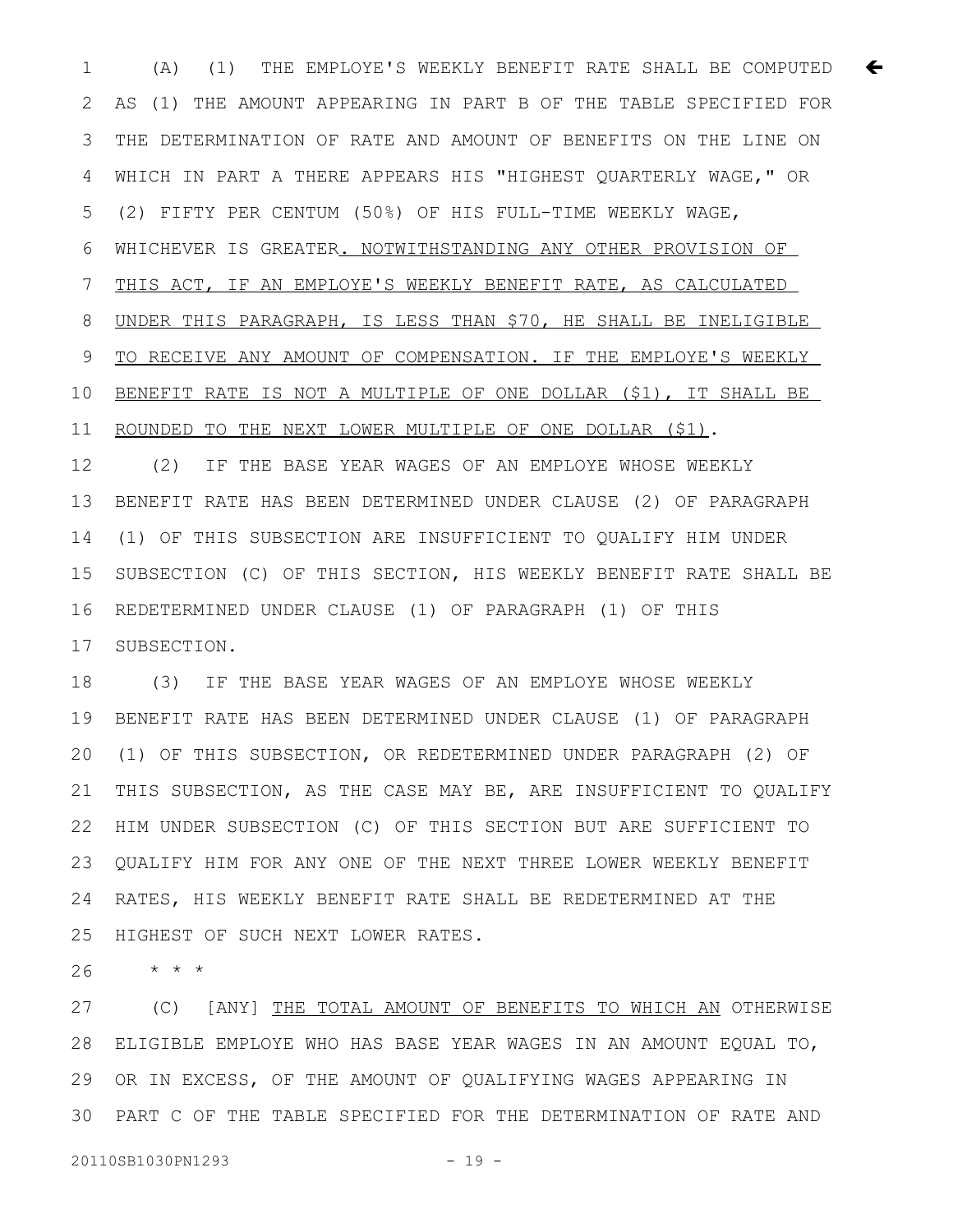1  $(A)$  (1) THE EMPLOYE'S WEEKLY BENEFIT RATE SHALL BE COMPUTED  $\leftarrow$ AS (1) THE AMOUNT APPEARING IN PART B OF THE TABLE SPECIFIED FOR THE DETERMINATION OF RATE AND AMOUNT OF BENEFITS ON THE LINE ON WHICH IN PART A THERE APPEARS HIS "HIGHEST QUARTERLY WAGE," OR (2) FIFTY PER CENTUM (50%) OF HIS FULL-TIME WEEKLY WAGE, WHICHEVER IS GREATER. NOTWITHSTANDING ANY OTHER PROVISION OF THIS ACT, IF AN EMPLOYE'S WEEKLY BENEFIT RATE, AS CALCULATED UNDER THIS PARAGRAPH, IS LESS THAN \$70, HE SHALL BE INELIGIBLE TO RECEIVE ANY AMOUNT OF COMPENSATION. IF THE EMPLOYE' S WEEKLY BENEFIT RATE IS NOT A MULTIPLE OF ONE DOLLAR (\$1), IT SHALL BE ROUNDED TO THE NEXT LOWER MULTIPLE OF ONE DOLLAR (\$1). 2 3 4 5 6 7 8 9 10 11

(2) IF THE BASE YEAR WAGES OF AN EMPLOYE WHOSE WEEKLY BENEFIT RATE HAS BEEN DETERMINED UNDER CLAUSE (2) OF PARAGRAPH (1) OF THIS SUBSECTION ARE INSUFFICIENT TO QUALIFY HIM UNDER SUBSECTION (C) OF THIS SECTION, HIS WEEKLY BENEFIT RATE SHALL BE REDETERMINED UNDER CLAUSE (1) OF PARAGRAPH (1) OF THIS SUBSECTION. 12 13 14 15 16 17

(3) IF THE BASE YEAR WAGES OF AN EMPLOYE WHOSE WEEKLY BENEFIT RATE HAS BEEN DETERMINED UNDER CLAUSE (1) OF PARAGRAPH (1) OF THIS SUBSECTION, OR REDETERMINED UNDER PARAGRAPH (2) OF THIS SUBSECTION, AS THE CASE MAY BE, ARE INSUFFICIENT TO QUALIFY HIM UNDER SUBSECTION (C) OF THIS SECTION BUT ARE SUFFICIENT TO QUALIFY HIM FOR ANY ONE OF THE NEXT THREE LOWER WEEKLY BENEFIT RATES, HIS WEEKLY BENEFIT RATE SHALL BE REDETERMINED AT THE HIGHEST OF SUCH NEXT LOWER RATES. 18 19 20 21 22 23 24 25

\* \* \* 26

(C) [ANY] THE TOTAL AMOUNT OF BENEFITS TO WHICH AN OTHERWISE ELIGIBLE EMPLOYE WHO HAS BASE YEAR WAGES IN AN AMOUNT EQUAL TO, 28 OR IN EXCESS, OF THE AMOUNT OF QUALIFYING WAGES APPEARING IN PART C OF THE TABLE SPECIFIED FOR THE DETERMINATION OF RATE AND 3027 29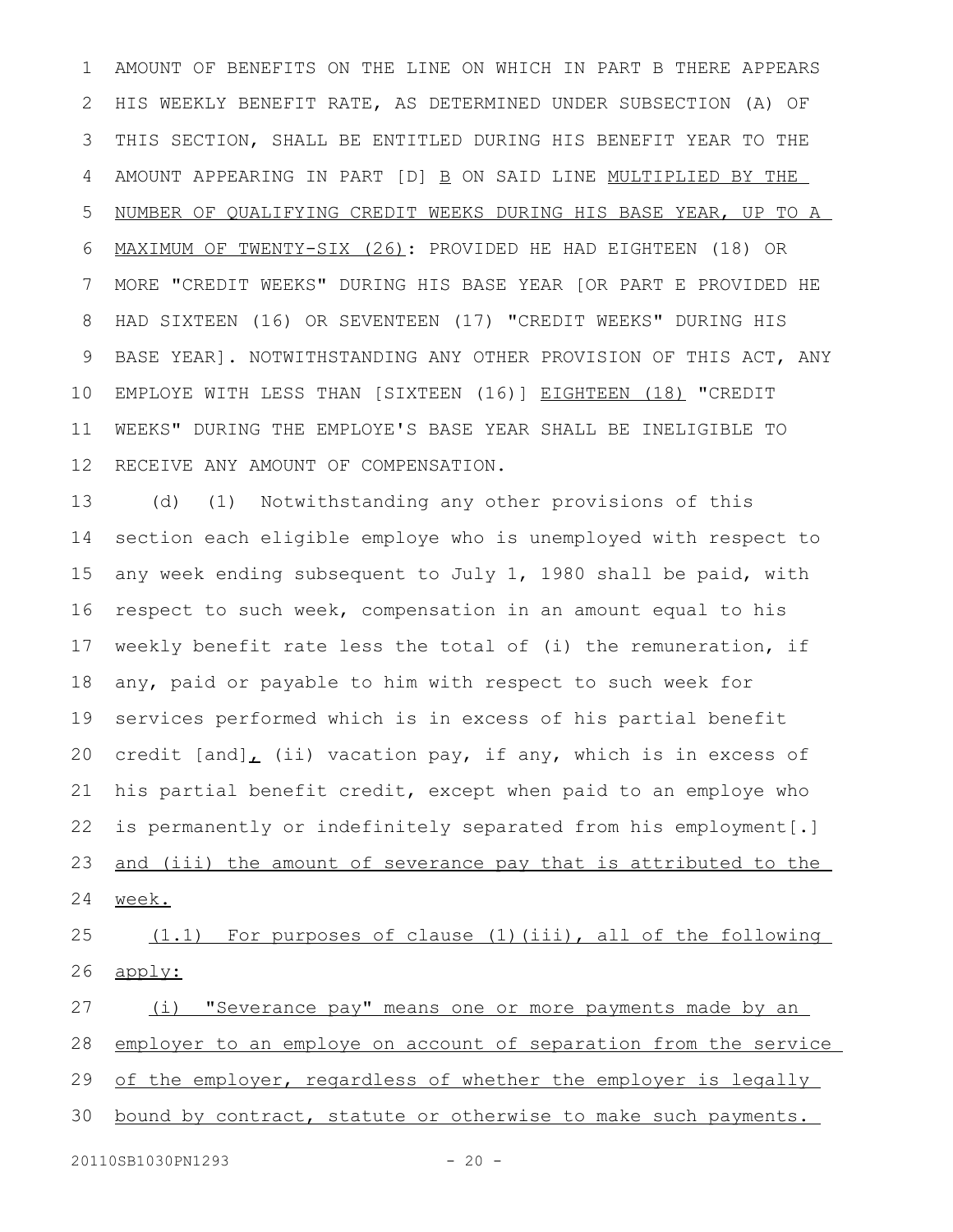AMOUNT OF BENEFITS ON THE LINE ON WHICH IN PART B THERE APPEARS HIS WEEKLY BENEFIT RATE, AS DETERMINED UNDER SUBSECTION (A) OF THIS SECTION, SHALL BE ENTITLED DURING HIS BENEFIT YEAR TO THE AMOUNT APPEARING IN PART [D] B ON SAID LINE MULTIPLIED BY THE NUMBER OF QUALIFYING CREDIT WEEKS DURING HIS BASE YEAR, UP TO A MAXIMUM OF TWENTY-SIX (26): PROVIDED HE HAD EIGHTEEN (18) OR MORE "CREDIT WEEKS" DURING HIS BASE YEAR [OR PART E PROVIDED HE HAD SIXTEEN (16) OR SEVENTEEN (17) "CREDIT WEEKS" DURING HIS BASE YEAR]. NOTWITHSTANDING ANY OTHER PROVISION OF THIS ACT, ANY EMPLOYE WITH LESS THAN [SIXTEEN (16)] EIGHTEEN (18) "CREDIT WEEKS" DURING THE EMPLOYE'S BASE YEAR SHALL BE INELIGIBLE TO RECEIVE ANY AMOUNT OF COMPENSATION. 1 2 3 4 5 6 7 8 9 10 11 12

(d) (1) Notwithstanding any other provisions of this section each eligible employe who is unemployed with respect to any week ending subsequent to July 1, 1980 shall be paid, with respect to such week, compensation in an amount equal to his weekly benefit rate less the total of (i) the remuneration, if any, paid or payable to him with respect to such week for services performed which is in excess of his partial benefit credit  $[and]_L$  (ii) vacation pay, if any, which is in excess of his partial benefit credit, except when paid to an employe who is permanently or indefinitely separated from his employment[.] and (iii) the amount of severance pay that is attributed to the week. 13 14 15 16 17 18 19 20 21 22 23 24

(1.1) For purposes of clause (1)(iii), all of the following apply: 25 26

(i) "Severance pay" means one or more payments made by an employer to an employe on account of separation from the service of the employer, regardless of whether the employer is legally bound by contract, statute or otherwise to make such payments. 27 28 29 30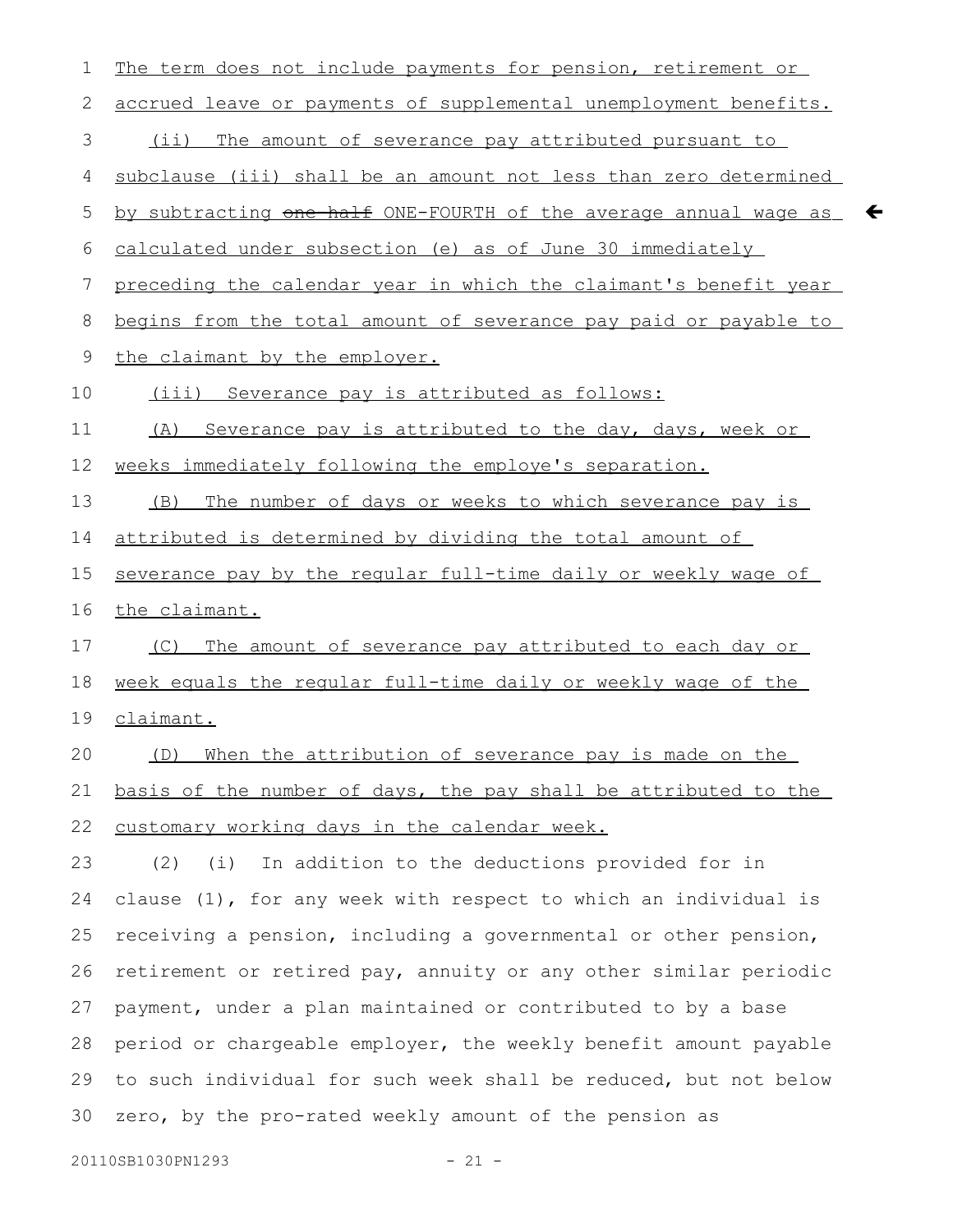| $\mathbf 1$  | The term does not include payments for pension, retirement or    |
|--------------|------------------------------------------------------------------|
| $\mathbf{2}$ | accrued leave or payments of supplemental unemployment benefits. |
| 3            | <u>(ii) The amount of severance pay attributed pursuant to</u>   |
| 4            | subclause (iii) shall be an amount not less than zero determined |
| 5            | by subtracting one half ONE-FOURTH of the average annual wage as |
| 6            | calculated under subsection (e) as of June 30 immediately        |
| 7            | preceding the calendar year in which the claimant's benefit year |
| 8            | begins from the total amount of severance pay paid or payable to |
| 9            | the claimant by the employer.                                    |
| 10           | <u>(iii) Severance pay is attributed as follows:</u>             |
| 11           | (A) Severance pay is attributed to the day, days, week or        |
| 12           | weeks immediately following the employe's separation.            |
| 13           | The number of days or weeks to which severance pay is<br>(B)     |
| 14           | attributed is determined by dividing the total amount of         |
| 15           | severance pay by the reqular full-time daily or weekly wage of   |
| 16           | the claimant.                                                    |
| 17           | The amount of severance pay attributed to each day or<br>(C)     |
| 18           | week equals the regular full-time daily or weekly wage of the    |
| 19           | claimant.                                                        |
| 20           | (D) When the attribution of severance pay is made on the         |
| 21           | basis of the number of days, the pay shall be attributed to the  |
| 22           | customary working days in the calendar week.                     |
| 23           | (2)<br>(i)<br>In addition to the deductions provided for in      |
| 24           | clause (1), for any week with respect to which an individual is  |
| 25           | receiving a pension, including a governmental or other pension,  |
| 26           | retirement or retired pay, annuity or any other similar periodic |
| 27           | payment, under a plan maintained or contributed to by a base     |
| 28           | period or chargeable employer, the weekly benefit amount payable |
| 29           |                                                                  |
|              | to such individual for such week shall be reduced, but not below |

 $\leftarrow$ 

20110SB1030PN1293 - 21 -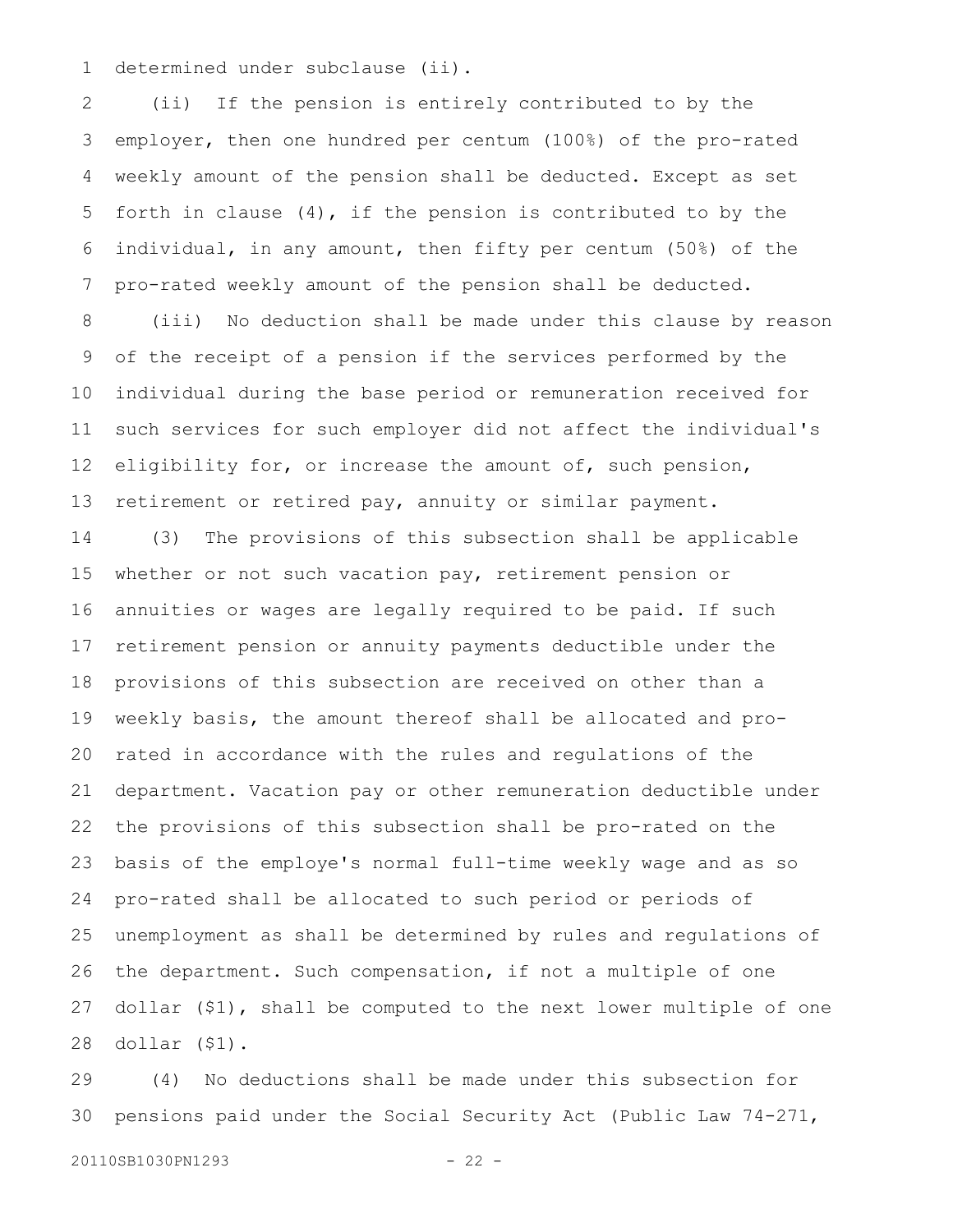determined under subclause (ii). 1

(ii) If the pension is entirely contributed to by the employer, then one hundred per centum (100%) of the pro-rated weekly amount of the pension shall be deducted. Except as set forth in clause (4), if the pension is contributed to by the individual, in any amount, then fifty per centum (50%) of the pro-rated weekly amount of the pension shall be deducted. 2 3 4 5 6 7

(iii) No deduction shall be made under this clause by reason of the receipt of a pension if the services performed by the individual during the base period or remuneration received for such services for such employer did not affect the individual's eligibility for, or increase the amount of, such pension, retirement or retired pay, annuity or similar payment. 8 9 10 11 12 13

(3) The provisions of this subsection shall be applicable whether or not such vacation pay, retirement pension or annuities or wages are legally required to be paid. If such retirement pension or annuity payments deductible under the provisions of this subsection are received on other than a weekly basis, the amount thereof shall be allocated and prorated in accordance with the rules and regulations of the department. Vacation pay or other remuneration deductible under the provisions of this subsection shall be pro-rated on the basis of the employe's normal full-time weekly wage and as so pro-rated shall be allocated to such period or periods of unemployment as shall be determined by rules and regulations of the department. Such compensation, if not a multiple of one dollar (\$1), shall be computed to the next lower multiple of one dollar (\$1). 14 15 16 17 18 19 20 21 22 23 24 25 26 27 28

(4) No deductions shall be made under this subsection for pensions paid under the Social Security Act (Public Law 74-271, 29 30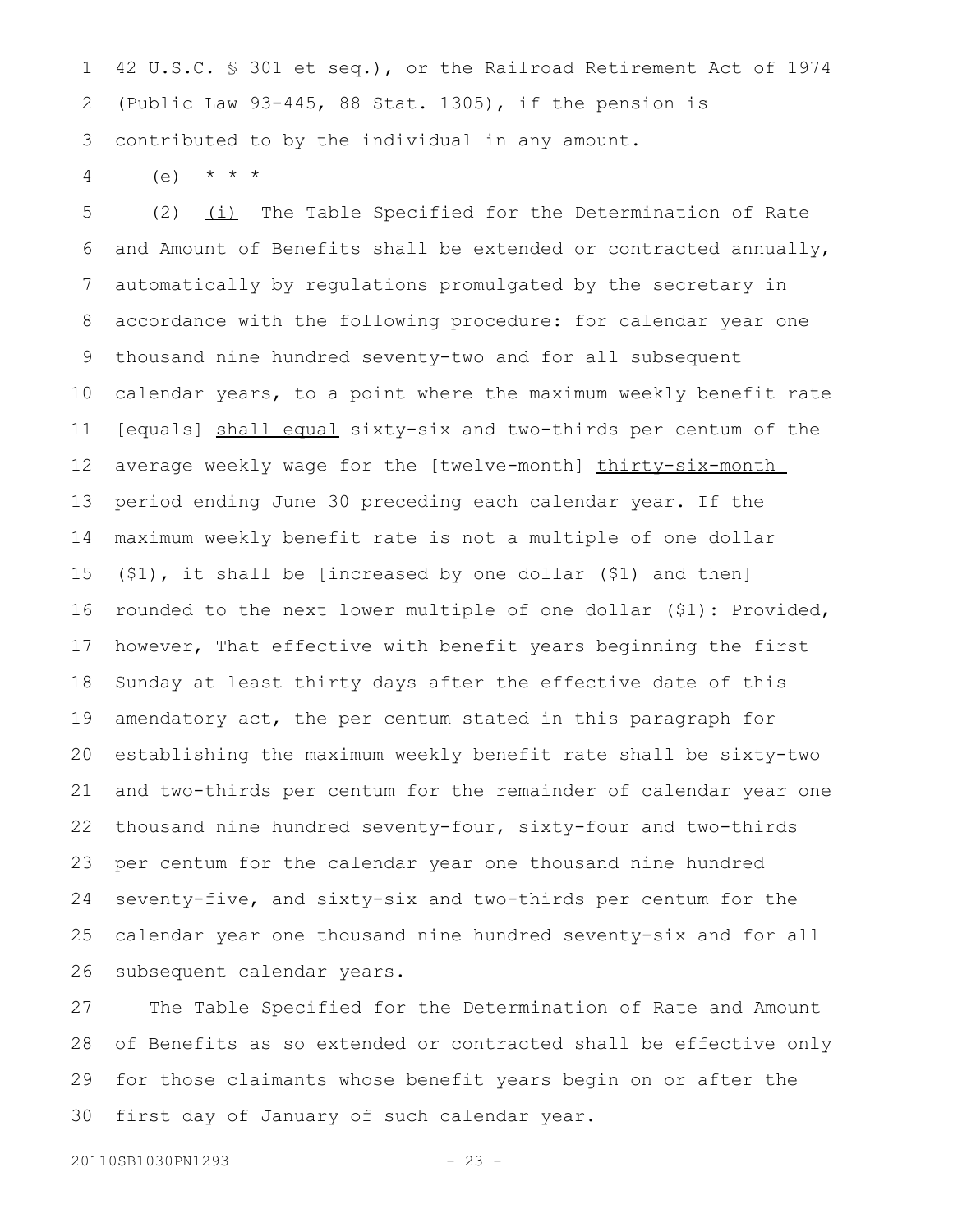42 U.S.C. § 301 et seq.), or the Railroad Retirement Act of 1974 (Public Law 93-445, 88 Stat. 1305), if the pension is contributed to by the individual in any amount. 1 2 3

 $(e)$  \* \* \* 4

(2)  $(i)$  The Table Specified for the Determination of Rate and Amount of Benefits shall be extended or contracted annually, automatically by regulations promulgated by the secretary in accordance with the following procedure: for calendar year one thousand nine hundred seventy-two and for all subsequent calendar years, to a point where the maximum weekly benefit rate [equals] shall equal sixty-six and two-thirds per centum of the average weekly wage for the [twelve-month] thirty-six-month period ending June 30 preceding each calendar year. If the maximum weekly benefit rate is not a multiple of one dollar (\$1), it shall be [increased by one dollar (\$1) and then] rounded to the next lower multiple of one dollar (\$1): Provided, however, That effective with benefit years beginning the first Sunday at least thirty days after the effective date of this amendatory act, the per centum stated in this paragraph for establishing the maximum weekly benefit rate shall be sixty-two and two-thirds per centum for the remainder of calendar year one thousand nine hundred seventy-four, sixty-four and two-thirds per centum for the calendar year one thousand nine hundred seventy-five, and sixty-six and two-thirds per centum for the calendar year one thousand nine hundred seventy-six and for all subsequent calendar years. 5 6 7 8 9 10 11 12 13 14 15 16 17 18 19 20 21 22 23 24 25 26

The Table Specified for the Determination of Rate and Amount of Benefits as so extended or contracted shall be effective only for those claimants whose benefit years begin on or after the first day of January of such calendar year. 27 28 29 30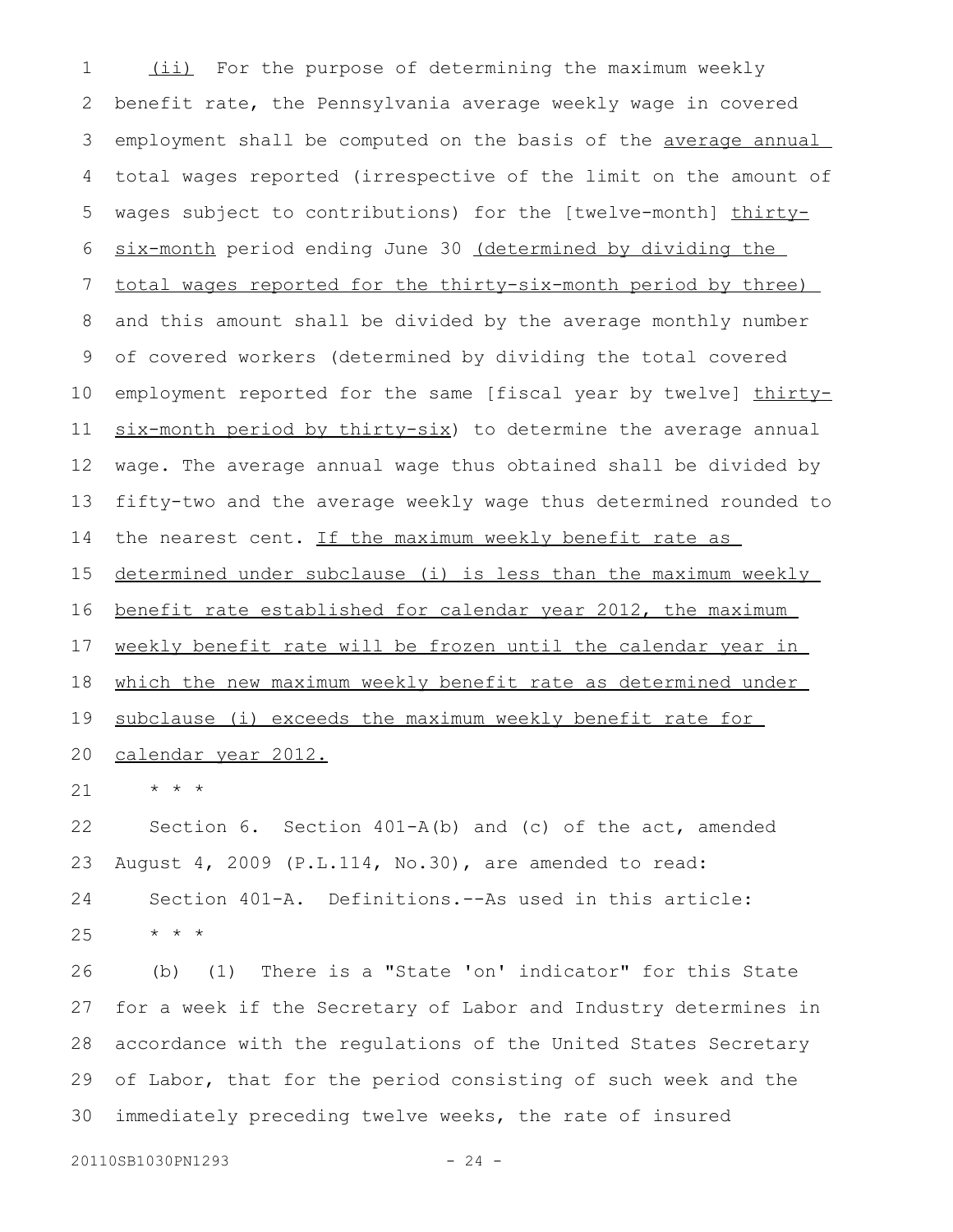(ii) For the purpose of determining the maximum weekly benefit rate, the Pennsylvania average weekly wage in covered employment shall be computed on the basis of the average annual total wages reported (irrespective of the limit on the amount of wages subject to contributions) for the [twelve-month] thirtysix-month period ending June 30 (determined by dividing the total wages reported for the thirty-six-month period by three) and this amount shall be divided by the average monthly number of covered workers (determined by dividing the total covered employment reported for the same [fiscal year by twelve] thirtysix-month period by thirty-six) to determine the average annual wage. The average annual wage thus obtained shall be divided by fifty-two and the average weekly wage thus determined rounded to the nearest cent. If the maximum weekly benefit rate as determined under subclause (i) is less than the maximum weekly benefit rate established for calendar year 2012, the maximum weekly benefit rate will be frozen until the calendar year in which the new maximum weekly benefit rate as determined under subclause (i) exceeds the maximum weekly benefit rate for calendar year 2012. \* \* \* Section 6. Section 401-A(b) and (c) of the act, amended August 4, 2009 (P.L.114, No.30), are amended to read: Section 401-A. Definitions.--As used in this article: \* \* \* (b) (1) There is a "State 'on' indicator" for this State for a week if the Secretary of Labor and Industry determines in accordance with the regulations of the United States Secretary of Labor, that for the period consisting of such week and the immediately preceding twelve weeks, the rate of insured 1 2 3 4 5 6 7 8 9 10 11 12 13 14 15 16 17 18 19 20 21 22 23 24 25 26 27 28 29 30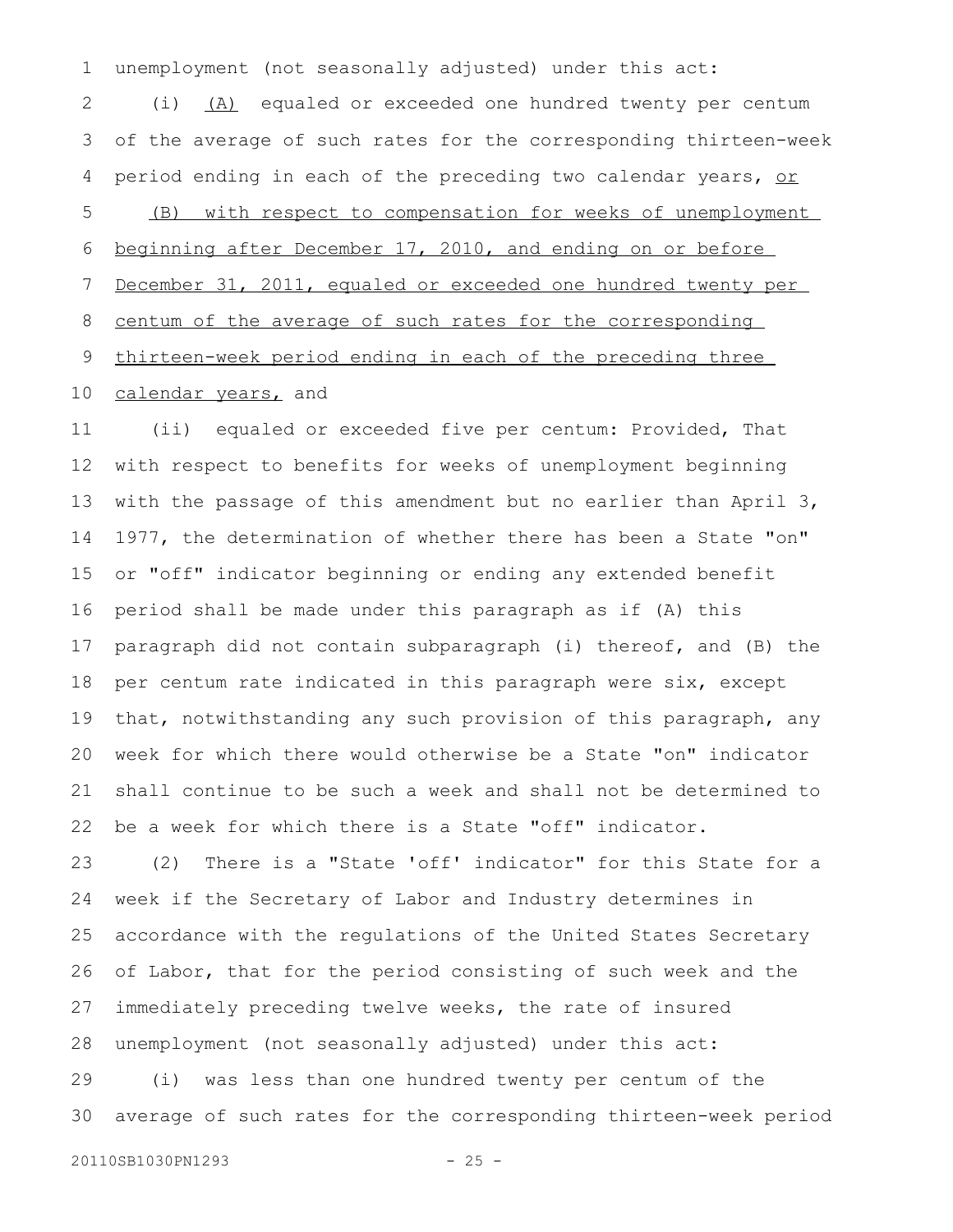unemployment (not seasonally adjusted) under this act: (i) (A) equaled or exceeded one hundred twenty per centum of the average of such rates for the corresponding thirteen-week period ending in each of the preceding two calendar years, or (B) with respect to compensation for weeks of unemployment beginning after December 17, 2010, and ending on or before December 31, 2011, equaled or exceeded one hundred twenty per centum of the average of such rates for the corresponding thirteen-week period ending in each of the preceding three 1 2 3 4 5 6 7 8 9

calendar years, and 10

(ii) equaled or exceeded five per centum: Provided, That with respect to benefits for weeks of unemployment beginning with the passage of this amendment but no earlier than April 3, 1977, the determination of whether there has been a State "on" or "off" indicator beginning or ending any extended benefit period shall be made under this paragraph as if (A) this paragraph did not contain subparagraph (i) thereof, and (B) the per centum rate indicated in this paragraph were six, except that, notwithstanding any such provision of this paragraph, any week for which there would otherwise be a State "on" indicator shall continue to be such a week and shall not be determined to be a week for which there is a State "off" indicator. 11 12 13 14 15 16 17 18 19 20 21 22

(2) There is a "State 'off' indicator" for this State for a week if the Secretary of Labor and Industry determines in accordance with the regulations of the United States Secretary of Labor, that for the period consisting of such week and the immediately preceding twelve weeks, the rate of insured unemployment (not seasonally adjusted) under this act: (i) was less than one hundred twenty per centum of the 23 24 25 26 27 28 29

average of such rates for the corresponding thirteen-week period 30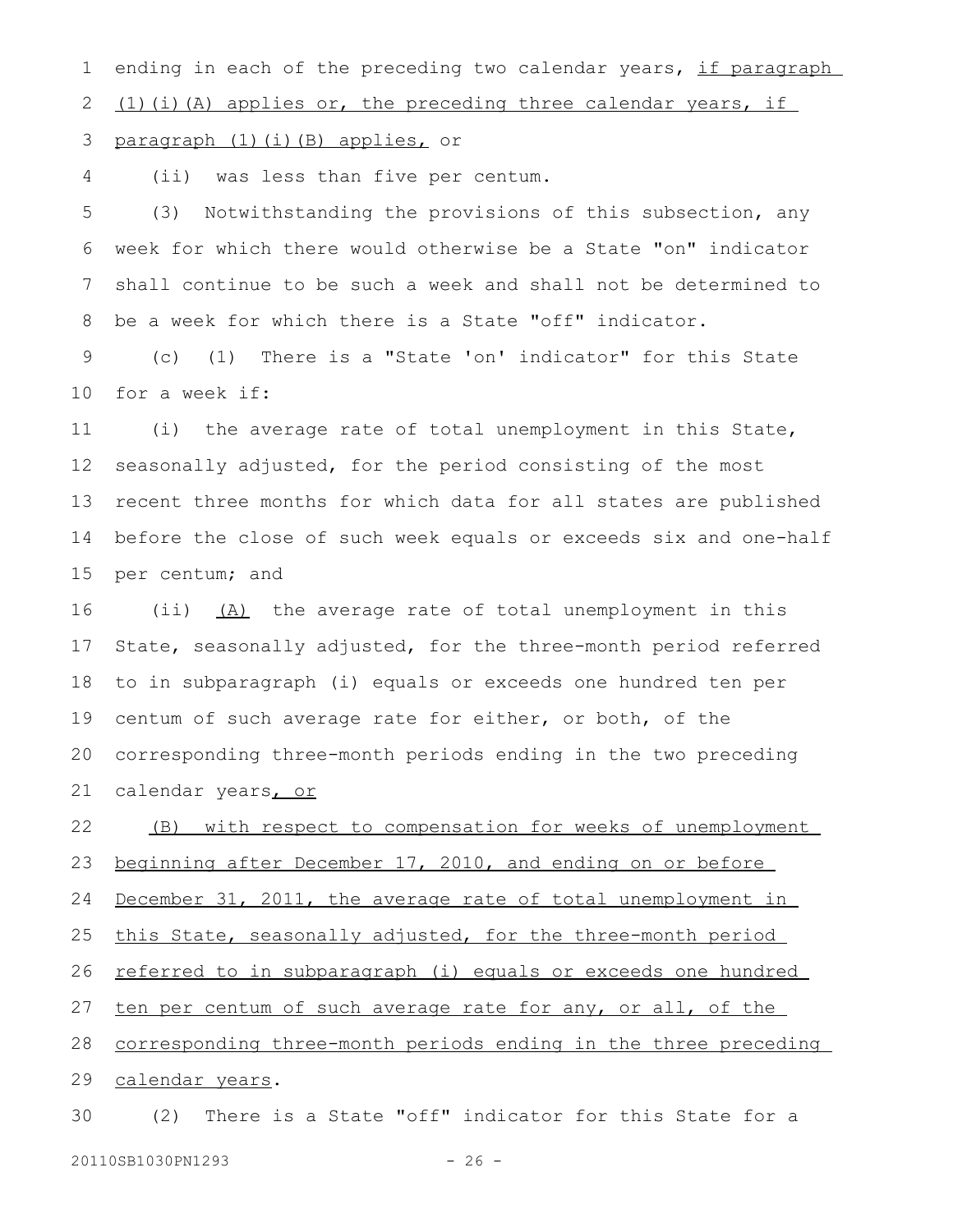ending in each of the preceding two calendar years, if paragraph  $(1)$  (i)(A) applies or, the preceding three calendar years, if 1 2

paragraph (1)(i)(B) applies, or 3

(ii) was less than five per centum. 4

(3) Notwithstanding the provisions of this subsection, any week for which there would otherwise be a State "on" indicator shall continue to be such a week and shall not be determined to be a week for which there is a State "off" indicator. 5 6 7 8

(c) (1) There is a "State 'on' indicator" for this State for a week if: 9 10

(i) the average rate of total unemployment in this State, seasonally adjusted, for the period consisting of the most recent three months for which data for all states are published before the close of such week equals or exceeds six and one-half per centum; and 11 12 13 14 15

(ii) (A) the average rate of total unemployment in this State, seasonally adjusted, for the three-month period referred to in subparagraph (i) equals or exceeds one hundred ten per centum of such average rate for either, or both, of the corresponding three-month periods ending in the two preceding calendar years, or 16 17 18 19 20 21

(B) with respect to compensation for weeks of unemployment beginning after December 17, 2010, and ending on or before December 31, 2011, the average rate of total unemployment in this State, seasonally adjusted, for the three-month period referred to in subparagraph (i) equals or exceeds one hundred ten per centum of such average rate for any, or all, of the corresponding three-month periods ending in the three preceding calendar years. 22 23 24 25 26 27 28 29

(2) There is a State "off" indicator for this State for a 20110SB1030PN1293 - 26 -30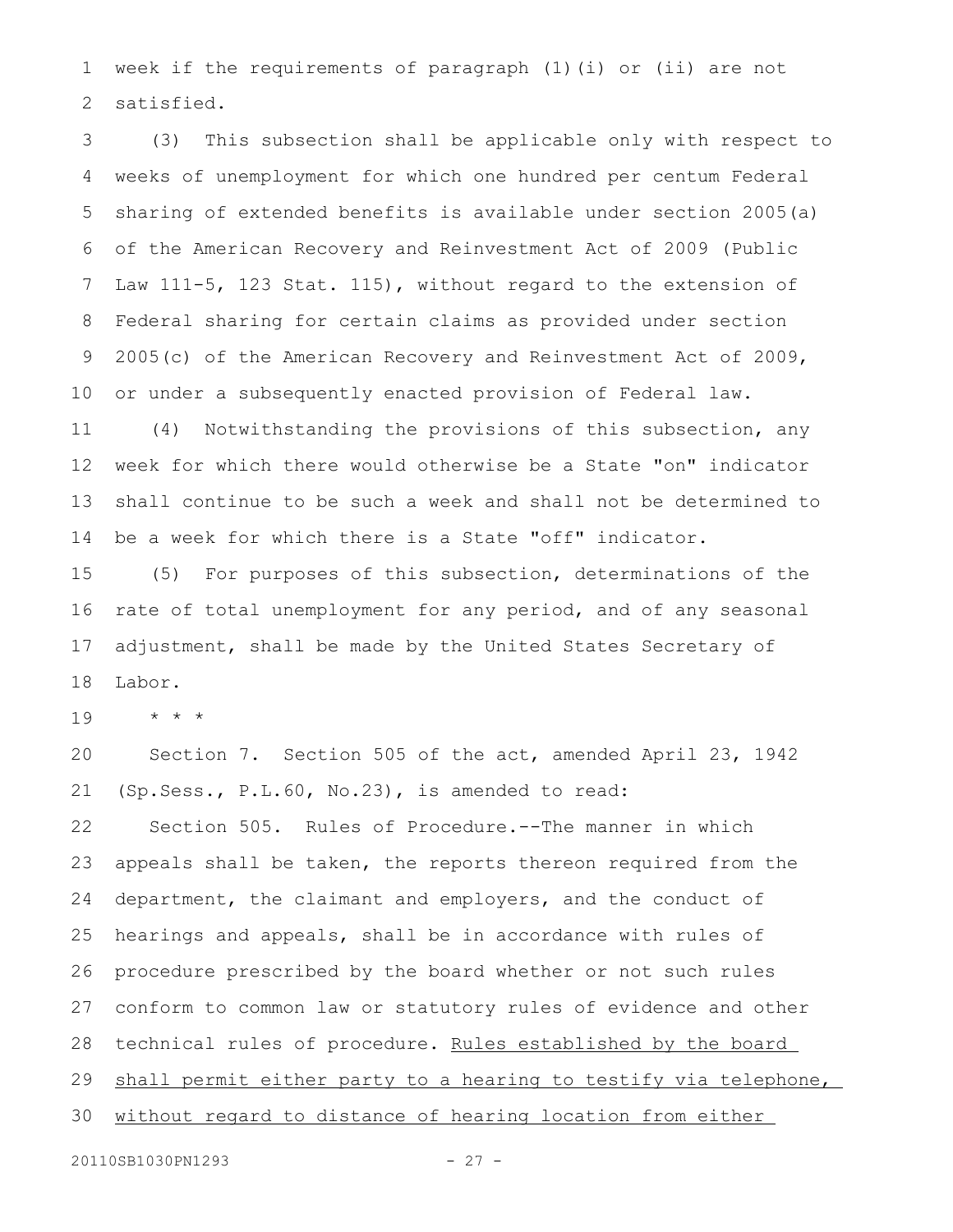week if the requirements of paragraph (1)(i) or (ii) are not satisfied. 1 2

(3) This subsection shall be applicable only with respect to weeks of unemployment for which one hundred per centum Federal sharing of extended benefits is available under section 2005(a) of the American Recovery and Reinvestment Act of 2009 (Public Law 111-5, 123 Stat. 115), without regard to the extension of Federal sharing for certain claims as provided under section 2005(c) of the American Recovery and Reinvestment Act of 2009, or under a subsequently enacted provision of Federal law. 3 4 5 6 7 8 9 10

(4) Notwithstanding the provisions of this subsection, any week for which there would otherwise be a State "on" indicator shall continue to be such a week and shall not be determined to be a week for which there is a State "off" indicator. 11 12 13 14

(5) For purposes of this subsection, determinations of the rate of total unemployment for any period, and of any seasonal adjustment, shall be made by the United States Secretary of Labor. 15 16 17 18

\* \* \* 19

Section 7. Section 505 of the act, amended April 23, 1942 (Sp.Sess., P.L.60, No.23), is amended to read: Section 505. Rules of Procedure.--The manner in which appeals shall be taken, the reports thereon required from the department, the claimant and employers, and the conduct of hearings and appeals, shall be in accordance with rules of procedure prescribed by the board whether or not such rules conform to common law or statutory rules of evidence and other technical rules of procedure. Rules established by the board shall permit either party to a hearing to testify via telephone, without regard to distance of hearing location from either 20 21 22 23 24 25 26 27 28 29 30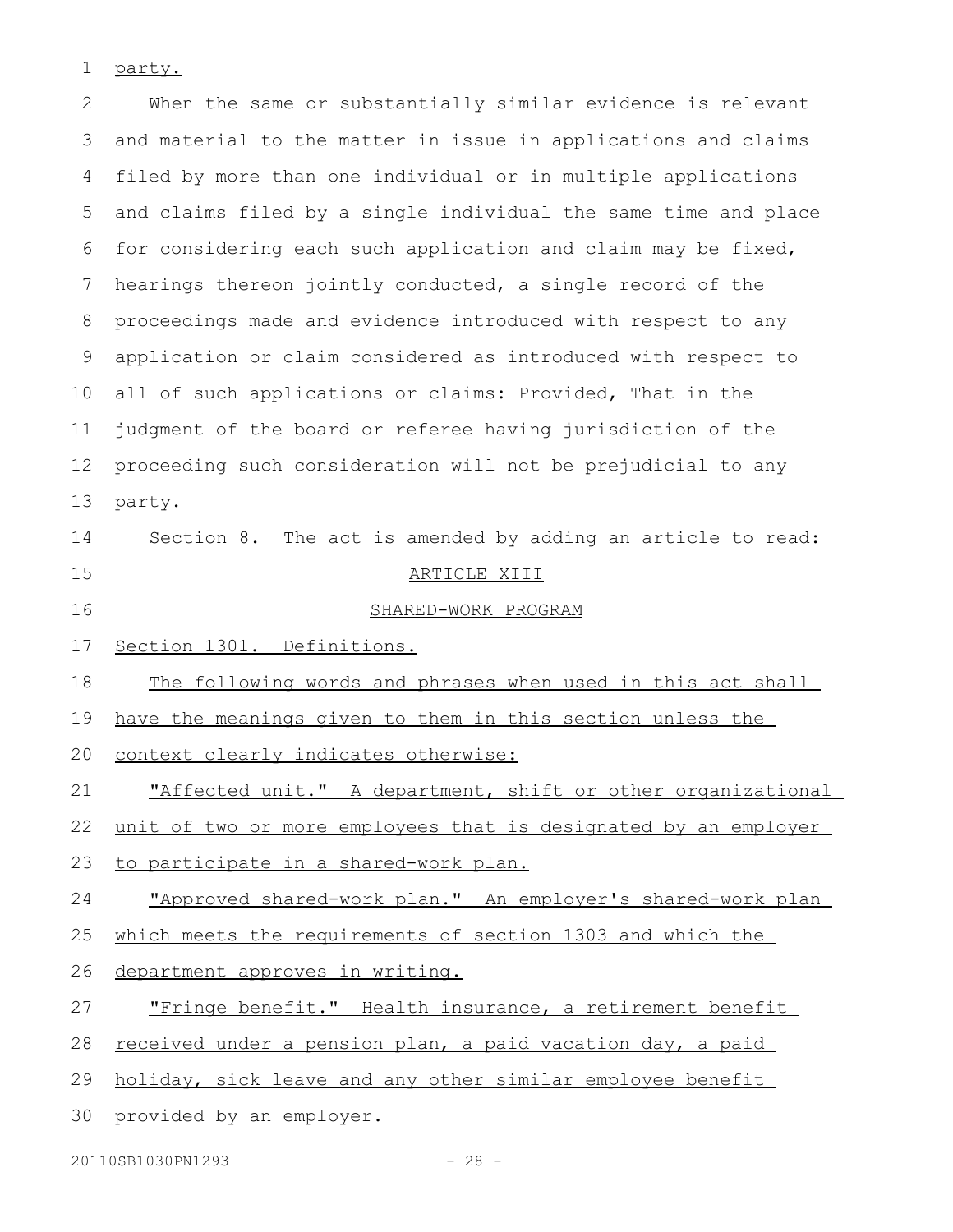party. 1

When the same or substantially similar evidence is relevant and material to the matter in issue in applications and claims filed by more than one individual or in multiple applications and claims filed by a single individual the same time and place for considering each such application and claim may be fixed, hearings thereon jointly conducted, a single record of the proceedings made and evidence introduced with respect to any application or claim considered as introduced with respect to all of such applications or claims: Provided, That in the judgment of the board or referee having jurisdiction of the proceeding such consideration will not be prejudicial to any party. Section 8. The act is amended by adding an article to read: ARTICLE XIII SHARED-WORK PROGRAM Section 1301. Definitions. The following words and phrases when used in this act shall have the meanings given to them in this section unless the context clearly indicates otherwise: "Affected unit." A department, shift or other organizational unit of two or more employees that is designated by an employer to participate in a shared-work plan. "Approved shared-work plan. " An employer's shared-work plan which meets the requirements of section 1303 and which the department approves in writing. "Fringe benefit." Health insurance, a retirement benefit received under a pension plan, a paid vacation day, a paid holiday, sick leave and any other similar employee benefit provided by an employer. 2 3 4 5 6 7 8 9 10 11 12 13 14 15 16 17 18 19 20 21 22 23 24 25 26 27 28 29 30

20110SB1030PN1293 - 28 -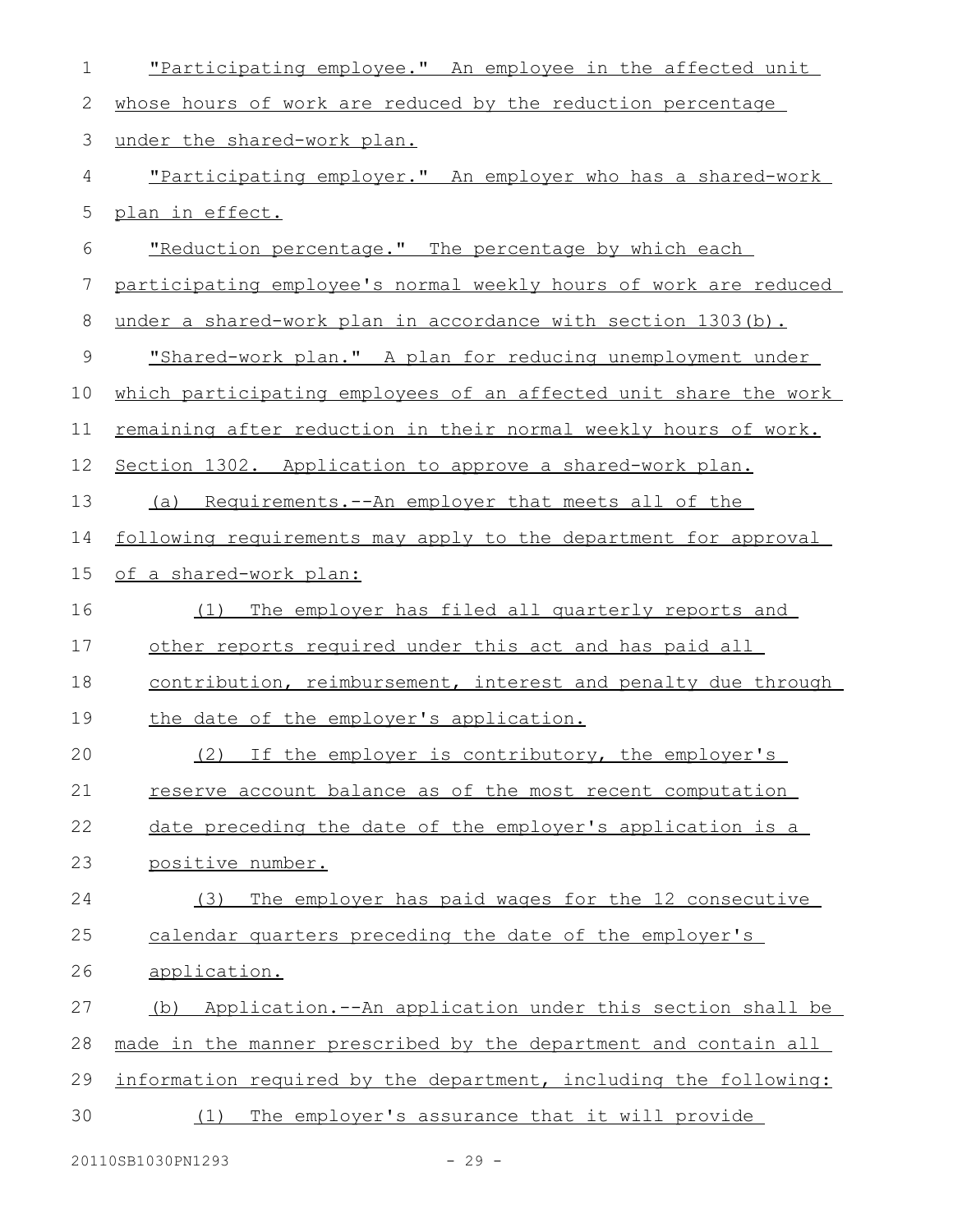| 1  | "Participating employee." An employee in the affected unit       |
|----|------------------------------------------------------------------|
| 2  | whose hours of work are reduced by the reduction percentage      |
| 3  | under the shared-work plan.                                      |
| 4  | "Participating employer." An employer who has a shared-work      |
| 5  | plan in effect.                                                  |
| 6  | "Reduction percentage." The percentage by which each             |
| 7  | participating employee's normal weekly hours of work are reduced |
| 8  | under a shared-work plan in accordance with section 1303(b).     |
| 9  | "Shared-work plan." A plan for reducing unemployment under       |
| 10 | which participating employees of an affected unit share the work |
| 11 | remaining after reduction in their normal weekly hours of work.  |
| 12 | Section 1302. Application to approve a shared-work plan.         |
| 13 | (a) Requirements.--An employer that meets all of the             |
| 14 | following requirements may apply to the department for approval  |
| 15 | of a shared-work plan:                                           |
| 16 | The employer has filed all quarterly reports and<br>(1)          |
| 17 | other reports required under this act and has paid all           |
| 18 | contribution, reimbursement, interest and penalty due through    |
| 19 | the date of the employer's application.                          |
| 20 | (2) If the employer is contributory, the employer's              |
| 21 | reserve account balance as of the most recent computation        |
| 22 | date preceding the date of the employer's application is a       |
| 23 | positive number.                                                 |
| 24 | The employer has paid wages for the 12 consecutive<br>(3)        |
| 25 | calendar quarters preceding the date of the employer's           |
| 26 | application.                                                     |
| 27 | Application.--An application under this section shall be<br>(b)  |
| 28 | made in the manner prescribed by the department and contain all  |
| 29 | information required by the department, including the following: |
| 30 | The employer's assurance that it will provide<br>(1)             |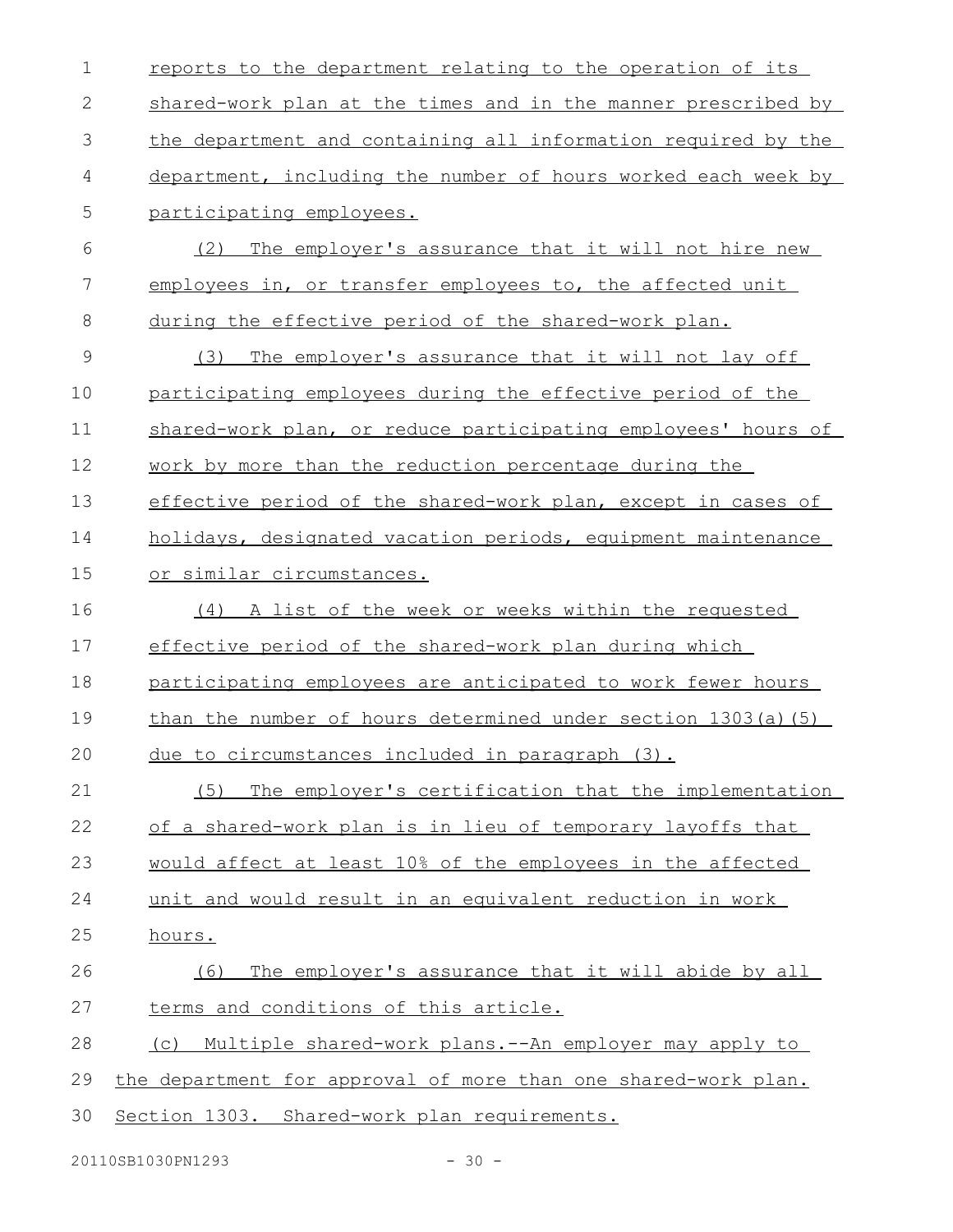| $\mathbf 1$   | reports to the department relating to the operation of its     |
|---------------|----------------------------------------------------------------|
| $\mathbf{2}$  | shared-work plan at the times and in the manner prescribed by  |
| 3             | the department and containing all information required by the  |
| 4             | department, including the number of hours worked each week by  |
| 5             | participating employees.                                       |
| 6             | (2) The employer's assurance that it will not hire new         |
| 7             | employees in, or transfer employees to, the affected unit      |
| 8             | during the effective period of the shared-work plan.           |
| $\mathcal{G}$ | (3)<br>The employer's assurance that it will not lay off       |
| 10            | participating employees during the effective period of the     |
| 11            | shared-work plan, or reduce participating employees' hours of  |
| 12            | work by more than the reduction percentage during the          |
| 13            | effective period of the shared-work plan, except in cases of   |
| 14            | holidays, designated vacation periods, equipment maintenance   |
| 15            | <u>or similar circumstances.</u>                               |
| 16            | (4) A list of the week or weeks within the requested           |
| 17            | effective period of the shared-work plan during which          |
| 18            | participating employees are anticipated to work fewer hours    |
| 19            | than the number of hours determined under section 1303(a)(5)   |
| 20            | due to circumstances included in paragraph (3).                |
| 21            | (5) The employer's certification that the implementation       |
| 22            | of a shared-work plan is in lieu of temporary layoffs that     |
| 23            | would affect at least 10% of the employees in the affected     |
| 24            | unit and would result in an equivalent reduction in work       |
| 25            | hours.                                                         |
| 26            | The employer's assurance that it will abide by all<br>(6)      |
| 27            | terms and conditions of this article.                          |
| 28            | (c) Multiple shared-work plans.--An employer may apply to      |
| 29            | the department for approval of more than one shared-work plan. |
| 30            | Section 1303. Shared-work plan requirements.                   |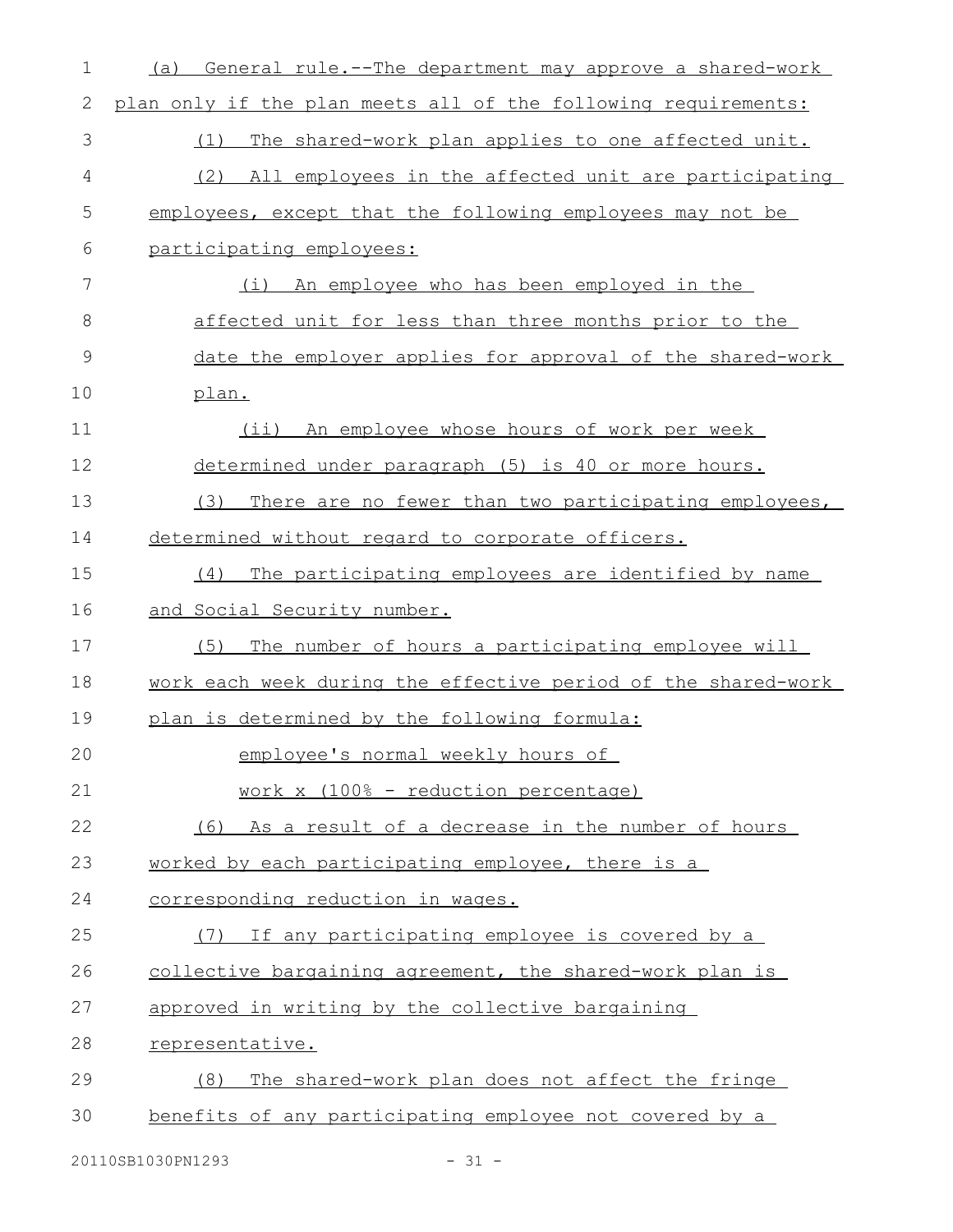| $\mathbf 1$   | General rule.--The department may approve a shared-work<br>(a) |
|---------------|----------------------------------------------------------------|
| 2             | plan only if the plan meets all of the following requirements: |
| 3             | The shared-work plan applies to one affected unit.<br>(1)      |
| 4             | (2) All employees in the affected unit are participating       |
| 5             | employees, except that the following employees may not be      |
| 6             | participating employees:                                       |
| 7             | An employee who has been employed in the<br>(i)                |
| 8             | affected unit for less than three months prior to the          |
| $\mathcal{G}$ | date the employer applies for approval of the shared-work      |
| 10            | plan.                                                          |
| 11            | (ii) An employee whose hours of work per week                  |
| 12            | determined under paragraph (5) is 40 or more hours.            |
| 13            | There are no fewer than two participating employees,<br>(3)    |
| 14            | determined without regard to corporate officers.               |
| 15            | The participating employees are identified by name<br>(4)      |
| 16            | and Social Security number.                                    |
| 17            | The number of hours a participating employee will<br>(5)       |
| 18            | work each week during the effective period of the shared-work  |
| 19            | plan is determined by the following formula:                   |
| 20            | employee's normal weekly hours of                              |
| 21            | work x (100% - reduction percentage)                           |
| 22            | (6) As a result of a decrease in the number of hours           |
| 23            | worked by each participating employee, there is a              |
| 24            | corresponding reduction in wages.                              |
| 25            | If any participating employee is covered by a<br>(7)           |
| 26            | collective bargaining agreement, the shared-work plan is       |
| 27            | approved in writing by the collective bargaining               |
| 28            | representative.                                                |
| 29            | The shared-work plan does not affect the fringe<br>(8)         |
| 30            | benefits of any participating employee not covered by a        |
|               |                                                                |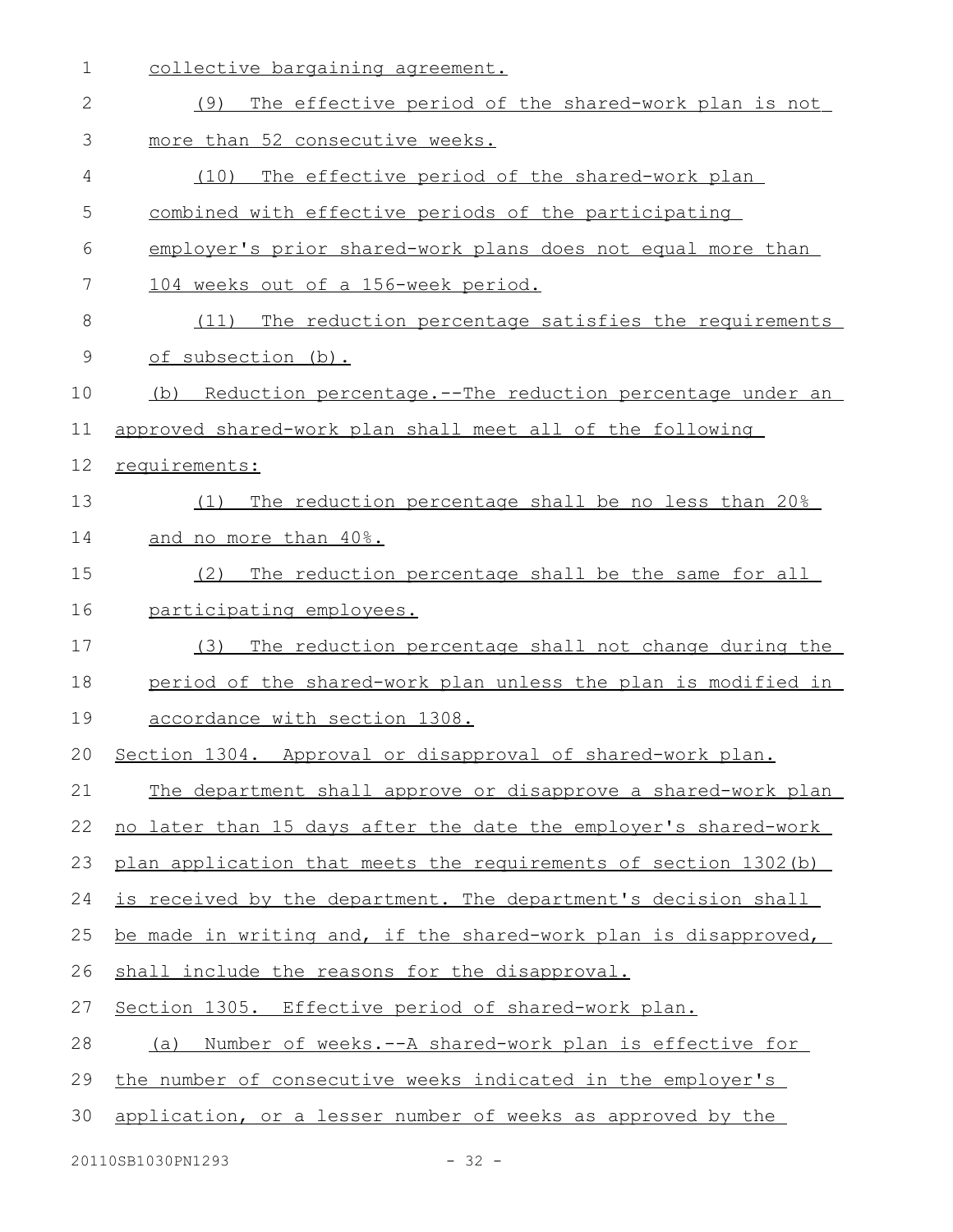| $\mathbf 1$  | collective bargaining agreement.                                 |
|--------------|------------------------------------------------------------------|
| $\mathbf{2}$ | The effective period of the shared-work plan is not<br>(9)       |
| 3            | more than 52 consecutive weeks.                                  |
| 4            | (10)<br>The effective period of the shared-work plan             |
| 5            | combined with effective periods of the participating             |
| 6            | employer's prior shared-work plans does not equal more than      |
| 7            | 104 weeks out of a 156-week period.                              |
| 8            | (11) The reduction percentage satisfies the requirements         |
| 9            | of subsection (b).                                               |
| 10           | Reduction percentage.--The reduction percentage under an<br>(b)  |
| 11           | approved shared-work plan shall meet all of the following        |
| 12           | requirements:                                                    |
| 13           | The reduction percentage shall be no less than 20%<br>(1)        |
| 14           | and no more than 40%.                                            |
| 15           | The reduction percentage shall be the same for all<br>(2)        |
| 16           | participating employees.                                         |
| 17           | The reduction percentage shall not change during the<br>(3)      |
| 18           | period of the shared-work plan unless the plan is modified in    |
| 19           | accordance with section 1308.                                    |
|              | 20 Section 1304. Approval or disapproval of shared-work plan.    |
| 21           | The department shall approve or disapprove a shared-work plan    |
| 22           | no later than 15 days after the date the employer's shared-work  |
| 23           | plan application that meets the requirements of section 1302 (b) |
| 24           | is received by the department. The department's decision shall   |
| 25           | be made in writing and, if the shared-work plan is disapproved,  |
|              |                                                                  |
| 26           | shall include the reasons for the disapproval.                   |
| 27           | Section 1305. Effective period of shared-work plan.              |
| 28           | (a) Number of weeks.--A shared-work plan is effective for        |
| 29           | the number of consecutive weeks indicated in the employer's      |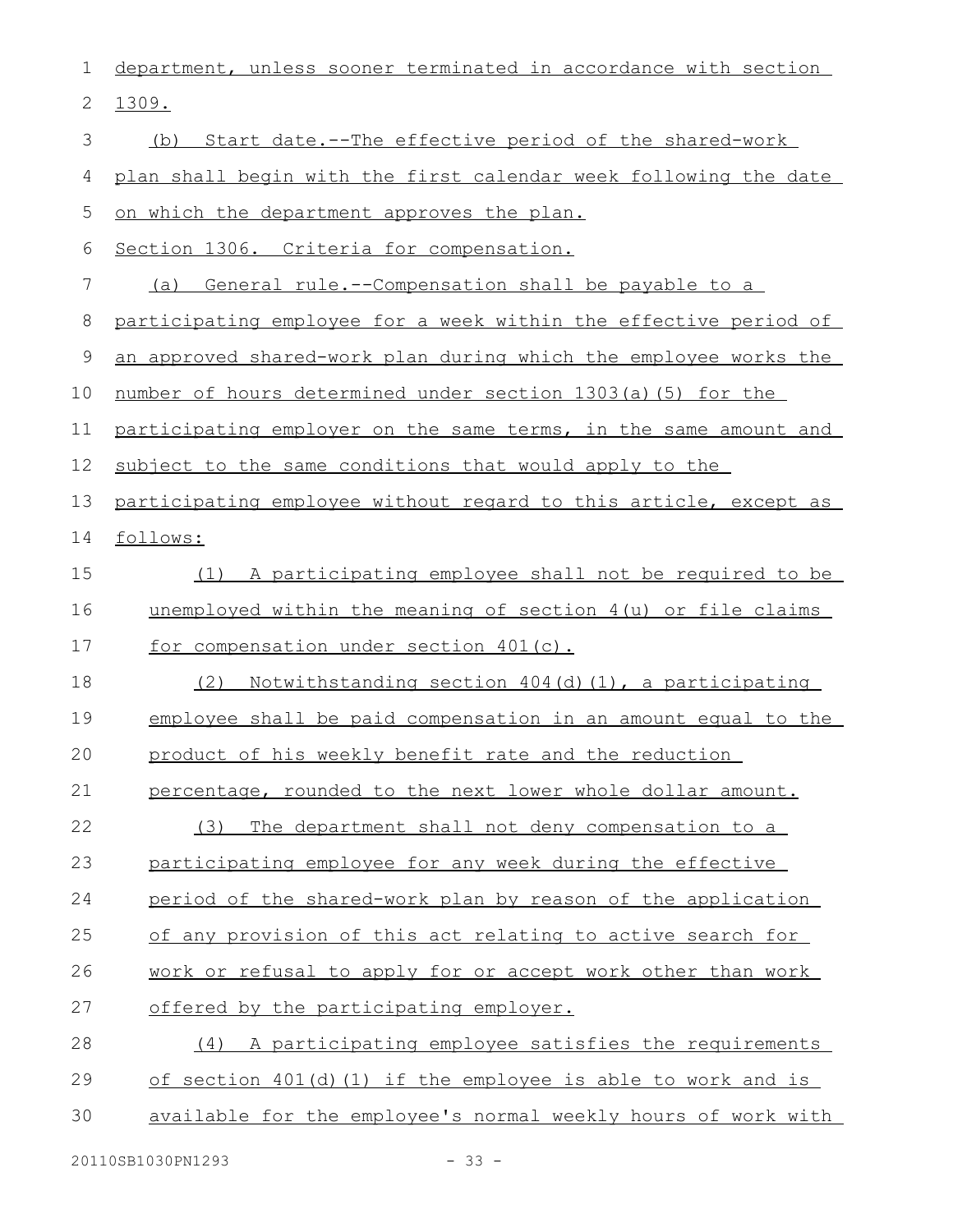| 1  | department, unless sooner terminated in accordance with section  |
|----|------------------------------------------------------------------|
| 2  | 1309.                                                            |
| 3  | (b) Start date.--The effective period of the shared-work         |
| 4  | plan shall begin with the first calendar week following the date |
| 5  | on which the department approves the plan.                       |
| 6  | Section 1306. Criteria for compensation.                         |
| 7  | (a) General rule.--Compensation shall be payable to a            |
| 8  | participating employee for a week within the effective period of |
| 9  | an approved shared-work plan during which the employee works the |
| 10 | number of hours determined under section 1303(a)(5) for the      |
| 11 | participating employer on the same terms, in the same amount and |
| 12 | subject to the same conditions that would apply to the           |
| 13 | participating employee without regard to this article, except as |
| 14 | follows:                                                         |
| 15 | (1) A participating employee shall not be required to be         |
| 16 | unemployed within the meaning of section 4(u) or file claims     |
| 17 | for compensation under section 401(c).                           |
| 18 | Notwithstanding section 404(d)(1), a participating<br>(2)        |
| 19 | employee shall be paid compensation in an amount equal to the    |
| 20 | product of his weekly benefit rate and the reduction             |
| 21 | percentage, rounded to the next lower whole dollar amount.       |
| 22 | (3)<br>The department shall not deny compensation to a           |
| 23 | participating employee for any week during the effective         |
| 24 | period of the shared-work plan by reason of the application      |
| 25 | of any provision of this act relating to active search for       |
| 26 | work or refusal to apply for or accept work other than work      |
| 27 | offered by the participating employer.                           |
| 28 | (4) A participating employee satisfies the requirements          |
| 29 | of section $401(d)(1)$ if the employee is able to work and is    |
| 30 | available for the employee's normal weekly hours of work with    |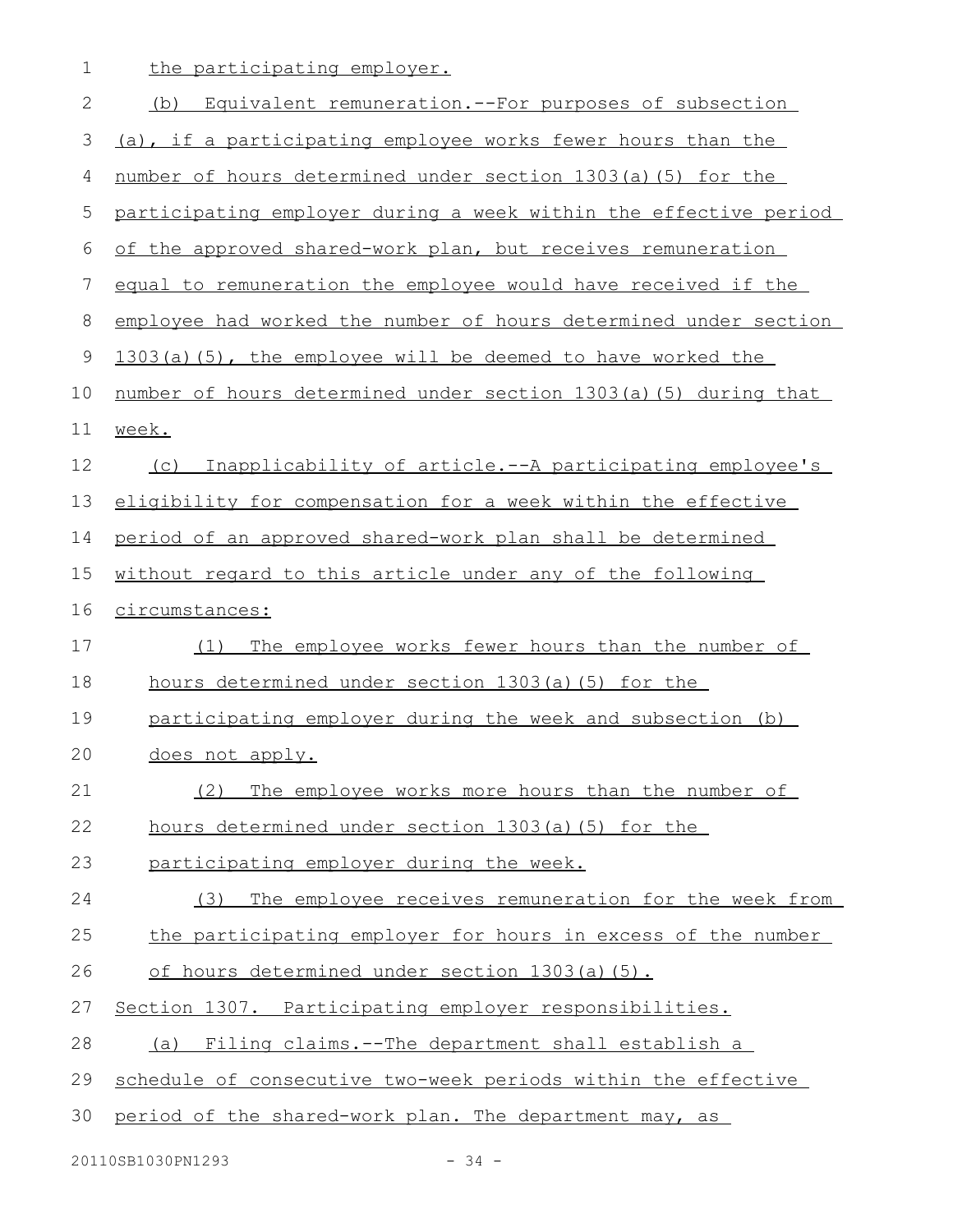1 the participating employer.

| $\mathbf{2}$  | (b)<br>Equivalent remuneration.--For purposes of subsection      |
|---------------|------------------------------------------------------------------|
| 3             | (a), if a participating employee works fewer hours than the      |
| 4             | number of hours determined under section 1303(a)(5) for the      |
| 5             | participating employer during a week within the effective period |
| 6             | of the approved shared-work plan, but receives remuneration      |
| 7             | equal to remuneration the employee would have received if the    |
| $\,8\,$       | employee had worked the number of hours determined under section |
| $\mathcal{G}$ | 1303(a)(5), the employee will be deemed to have worked the       |
| 10            | number of hours determined under section 1303(a)(5) during that  |
| 11            | week.                                                            |
| 12            | Inapplicability of article.--A participating employee's<br>(C)   |
| 13            | eligibility for compensation for a week within the effective     |
| 14            | period of an approved shared-work plan shall be determined       |
| 15            | without regard to this article under any of the following        |
| 16            | circumstances:                                                   |
| 17            | The employee works fewer hours than the number of<br>(1)         |
| 18            | hours determined under section 1303(a)(5) for the                |
| 19            | participating employer during the week and subsection (b)        |
| 20            | does not apply.                                                  |
| 21            | (2) The employee works more hours than the number of             |
| 22            | hours determined under section 1303(a)(5) for the                |
| 23            | participating employer during the week.                          |
| 24            | The employee receives remuneration for the week from<br>(3)      |
| 25            | the participating employer for hours in excess of the number     |
| 26            | of hours determined under section 1303(a)(5).                    |
| 27            | Section 1307. Participating employer responsibilities.           |
| 28            | Filing claims.--The department shall establish a<br>(a)          |
| 29            | schedule of consecutive two-week periods within the effective    |
| 30            | period of the shared-work plan. The department may, as           |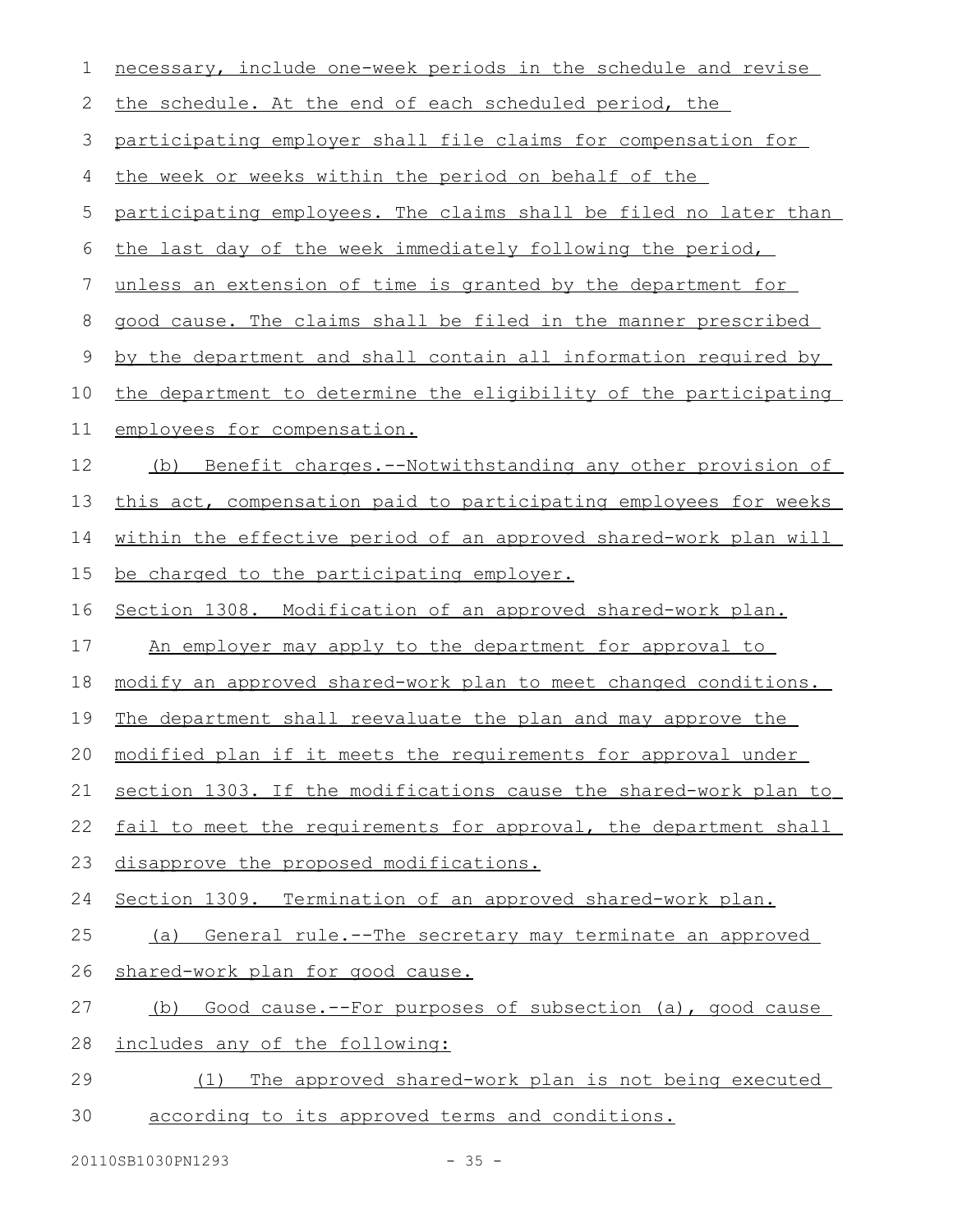| 1  | necessary, include one-week periods in the schedule and revise   |
|----|------------------------------------------------------------------|
| 2  | the schedule. At the end of each scheduled period, the           |
| 3  | participating employer shall file claims for compensation for    |
| 4  | the week or weeks within the period on behalf of the             |
| 5  | participating employees. The claims shall be filed no later than |
| 6  | the last day of the week immediately following the period,       |
| 7  | unless an extension of time is granted by the department for     |
| 8  | good cause. The claims shall be filed in the manner prescribed   |
| 9  | by the department and shall contain all information required by  |
| 10 | the department to determine the eligibility of the participating |
| 11 | employees for compensation.                                      |
| 12 | Benefit charges.--Notwithstanding any other provision of<br>(b)  |
| 13 | this act, compensation paid to participating employees for weeks |
| 14 | within the effective period of an approved shared-work plan will |
| 15 | be charged to the participating employer.                        |
| 16 | Section 1308. Modification of an approved shared-work plan.      |
| 17 | An employer may apply to the department for approval to          |
| 18 | modify an approved shared-work plan to meet changed conditions.  |
| 19 | The department shall reevaluate the plan and may approve the     |
|    | 20 modified plan if it meets the requirements for approval under |
| 21 | section 1303. If the modifications cause the shared-work plan to |
| 22 | fail to meet the requirements for approval, the department shall |
| 23 | disapprove the proposed modifications.                           |
| 24 | Section 1309. Termination of an approved shared-work plan.       |
| 25 | (a) General rule.--The secretary may terminate an approved       |
| 26 | shared-work plan for good cause.                                 |
| 27 | Good cause.--For purposes of subsection (a), good cause<br>(b)   |
| 28 | includes any of the following:                                   |
| 29 | The approved shared-work plan is not being executed<br>(1)       |
| 30 | according to its approved terms and conditions.                  |
|    |                                                                  |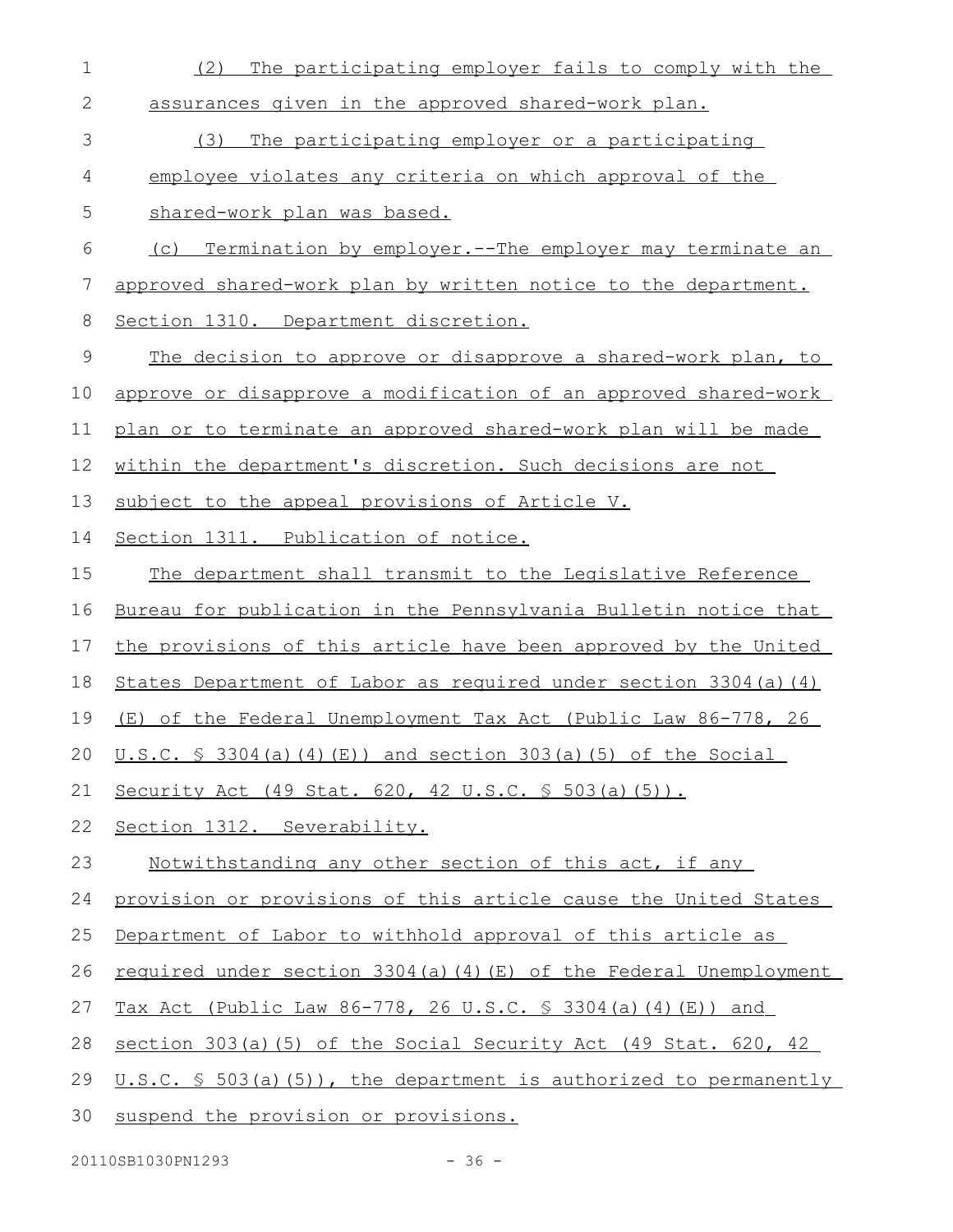| $\mathbf 1$ | The participating employer fails to comply with the<br>(2)                   |
|-------------|------------------------------------------------------------------------------|
| 2           | assurances given in the approved shared-work plan.                           |
| 3           | The participating employer or a participating<br>(3)                         |
| 4           | employee violates any criteria on which approval of the                      |
| 5           | shared-work plan was based.                                                  |
| 6           | (c) Termination by employer.--The employer may terminate an                  |
| 7           | approved shared-work plan by written notice to the department.               |
| 8           | Section 1310. Department discretion.                                         |
| 9           | The decision to approve or disapprove a shared-work plan, to                 |
| 10          | approve or disapprove a modification of an approved shared-work              |
| 11          | plan or to terminate an approved shared-work plan will be made               |
| 12          | within the department's discretion. Such decisions are not                   |
| 13          | subject to the appeal provisions of Article V.                               |
| 14          | Section 1311. Publication of notice.                                         |
| 15          | The department shall transmit to the Legislative Reference                   |
| 16          | Bureau for publication in the Pennsylvania Bulletin notice that              |
| 17          | the provisions of this article have been approved by the United              |
| 18          | States Department of Labor as required under section 3304(a) (4)             |
| 19          | (E) of the Federal Unemployment Tax Act (Public Law 86-778, 26               |
|             | 20 <u>U.S.C. § 3304(a)(4)(E))</u> and section 303(a)(5) of the Social        |
| 21          | Security Act (49 Stat. 620, 42 U.S.C. § 503(a)(5)).                          |
| 22          | Section 1312. Severability.                                                  |
| 23          | <u>Notwithstanding any other section of this act, if any</u>                 |
| 24          | provision or provisions of this article cause the United States              |
| 25          | Department of Labor to withhold approval of this article as                  |
| 26          | required under section 3304(a)(4)(E) of the Federal Unemployment             |
| 27          | <u>Tax Act (Public Law 86-778, 26 U.S.C. § 3304(a)(4)(E)) and</u>            |
| 28          | section 303(a)(5) of the Social Security Act (49 Stat. 620, 42               |
| 29          | U.S.C. $\frac{1}{5}$ 503(a)(5)), the department is authorized to permanently |
| 30          | suspend the provision or provisions.                                         |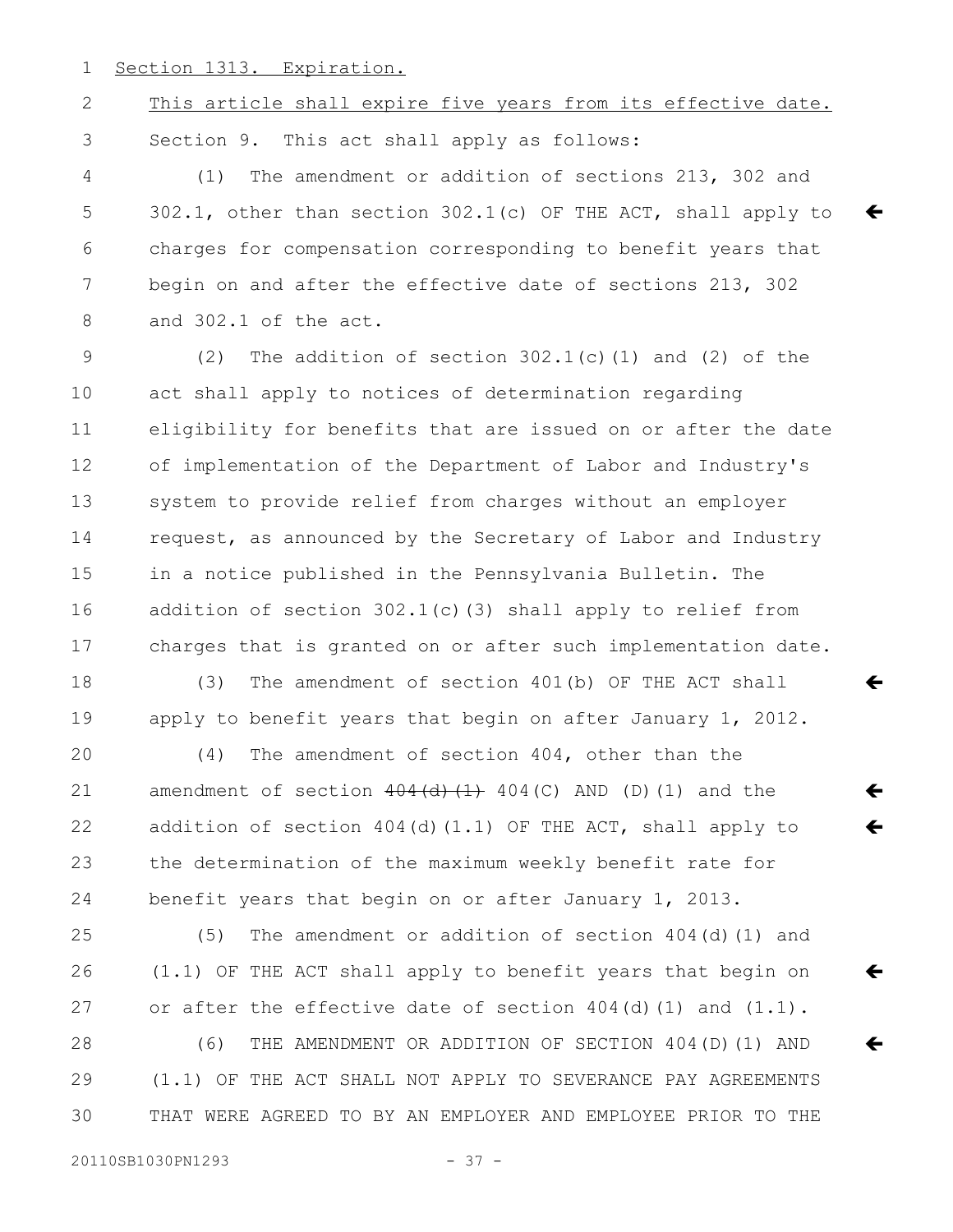Section 1313. Expiration. 1

## 2

This article shall expire five years from its effective date. Section 9. This act shall apply as follows: 3

(1) The amendment or addition of sections 213, 302 and 302.1, other than section 302.1(c) OF THE ACT, shall apply to charges for compensation corresponding to benefit years that begin on and after the effective date of sections 213, 302 and 302.1 of the act. 4 5 6 7 8

(2) The addition of section  $302.1(c)$  (1) and (2) of the act shall apply to notices of determination regarding eligibility for benefits that are issued on or after the date of implementation of the Department of Labor and Industry's system to provide relief from charges without an employer request, as announced by the Secretary of Labor and Industry in a notice published in the Pennsylvania Bulletin. The addition of section  $302.1(c)$  (3) shall apply to relief from charges that is granted on or after such implementation date. 9 10 11 12 13 14 15 16 17

(3) The amendment of section 401(b) OF THE ACT shall apply to benefit years that begin on after January 1, 2012. 18 19

(4) The amendment of section 404, other than the amendment of section  $404(d)$   $(1)$   $404(c)$  AND (D)(1) and the addition of section 404(d)(1.1) OF THE ACT, shall apply to the determination of the maximum weekly benefit rate for benefit years that begin on or after January 1, 2013. 20 21 22 23 24

 $\leftarrow$ 

 $\leftarrow$ 

 $\leftarrow$ 

 $\leftarrow$ 

 $\leftarrow$ 

 $\leftarrow$ 

(5) The amendment or addition of section 404(d)(1) and (1.1) OF THE ACT shall apply to benefit years that begin on or after the effective date of section  $404(d)(1)$  and  $(1.1)$ . (6) THE AMENDMENT OR ADDITION OF SECTION 404(D)(1) AND (1.1) OF THE ACT SHALL NOT APPLY TO SEVERANCE PAY AGREEMENTS THAT WERE AGREED TO BY AN EMPLOYER AND EMPLOYEE PRIOR TO THE 25 26 27 28 29 30